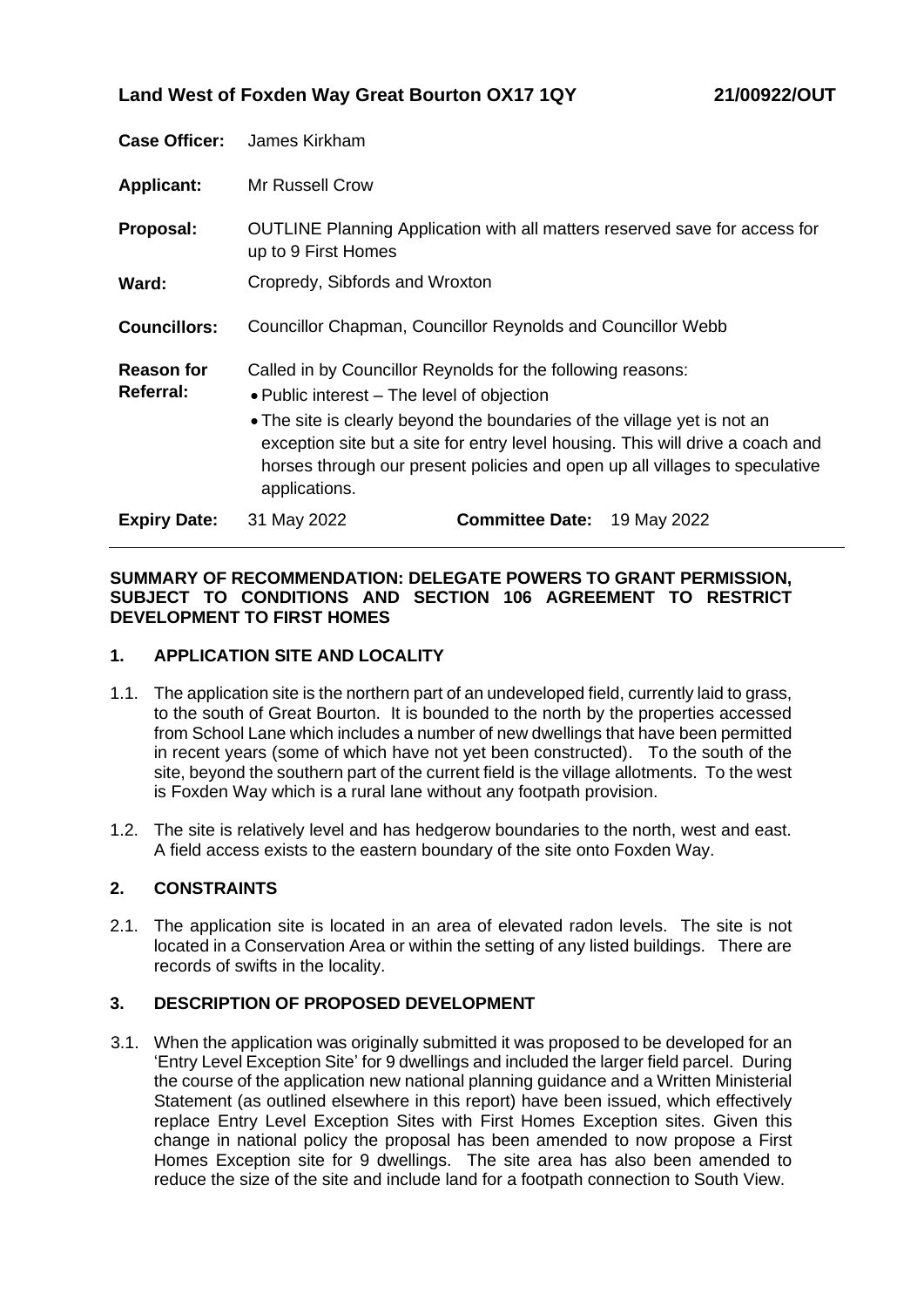| <b>Case Officer:</b>           | James Kirkham                                                                                                                                                                                                                                                                                                                                                           |                        |             |
|--------------------------------|-------------------------------------------------------------------------------------------------------------------------------------------------------------------------------------------------------------------------------------------------------------------------------------------------------------------------------------------------------------------------|------------------------|-------------|
| <b>Applicant:</b>              | Mr Russell Crow                                                                                                                                                                                                                                                                                                                                                         |                        |             |
| Proposal:                      | OUTLINE Planning Application with all matters reserved save for access for<br>up to 9 First Homes                                                                                                                                                                                                                                                                       |                        |             |
| Ward:                          | Cropredy, Sibfords and Wroxton                                                                                                                                                                                                                                                                                                                                          |                        |             |
| <b>Councillors:</b>            | Councillor Chapman, Councillor Reynolds and Councillor Webb                                                                                                                                                                                                                                                                                                             |                        |             |
| <b>Reason for</b><br>Referral: | Called in by Councillor Reynolds for the following reasons:<br>• Public interest – The level of objection<br>• The site is clearly beyond the boundaries of the village yet is not an<br>exception site but a site for entry level housing. This will drive a coach and<br>horses through our present policies and open up all villages to speculative<br>applications. |                        |             |
| <b>Expiry Date:</b>            | 31 May 2022                                                                                                                                                                                                                                                                                                                                                             | <b>Committee Date:</b> | 19 May 2022 |

### **SUMMARY OF RECOMMENDATION: DELEGATE POWERS TO GRANT PERMISSION, SUBJECT TO CONDITIONS AND SECTION 106 AGREEMENT TO RESTRICT DEVELOPMENT TO FIRST HOMES**

### **1. APPLICATION SITE AND LOCALITY**

- 1.1. The application site is the northern part of an undeveloped field, currently laid to grass, to the south of Great Bourton. It is bounded to the north by the properties accessed from School Lane which includes a number of new dwellings that have been permitted in recent years (some of which have not yet been constructed). To the south of the site, beyond the southern part of the current field is the village allotments. To the west is Foxden Way which is a rural lane without any footpath provision.
- 1.2. The site is relatively level and has hedgerow boundaries to the north, west and east. A field access exists to the eastern boundary of the site onto Foxden Way.

## **2. CONSTRAINTS**

2.1. The application site is located in an area of elevated radon levels. The site is not located in a Conservation Area or within the setting of any listed buildings. There are records of swifts in the locality.

## **3. DESCRIPTION OF PROPOSED DEVELOPMENT**

3.1. When the application was originally submitted it was proposed to be developed for an 'Entry Level Exception Site' for 9 dwellings and included the larger field parcel. During the course of the application new national planning guidance and a Written Ministerial Statement (as outlined elsewhere in this report) have been issued, which effectively replace Entry Level Exception Sites with First Homes Exception sites. Given this change in national policy the proposal has been amended to now propose a First Homes Exception site for 9 dwellings. The site area has also been amended to reduce the size of the site and include land for a footpath connection to South View.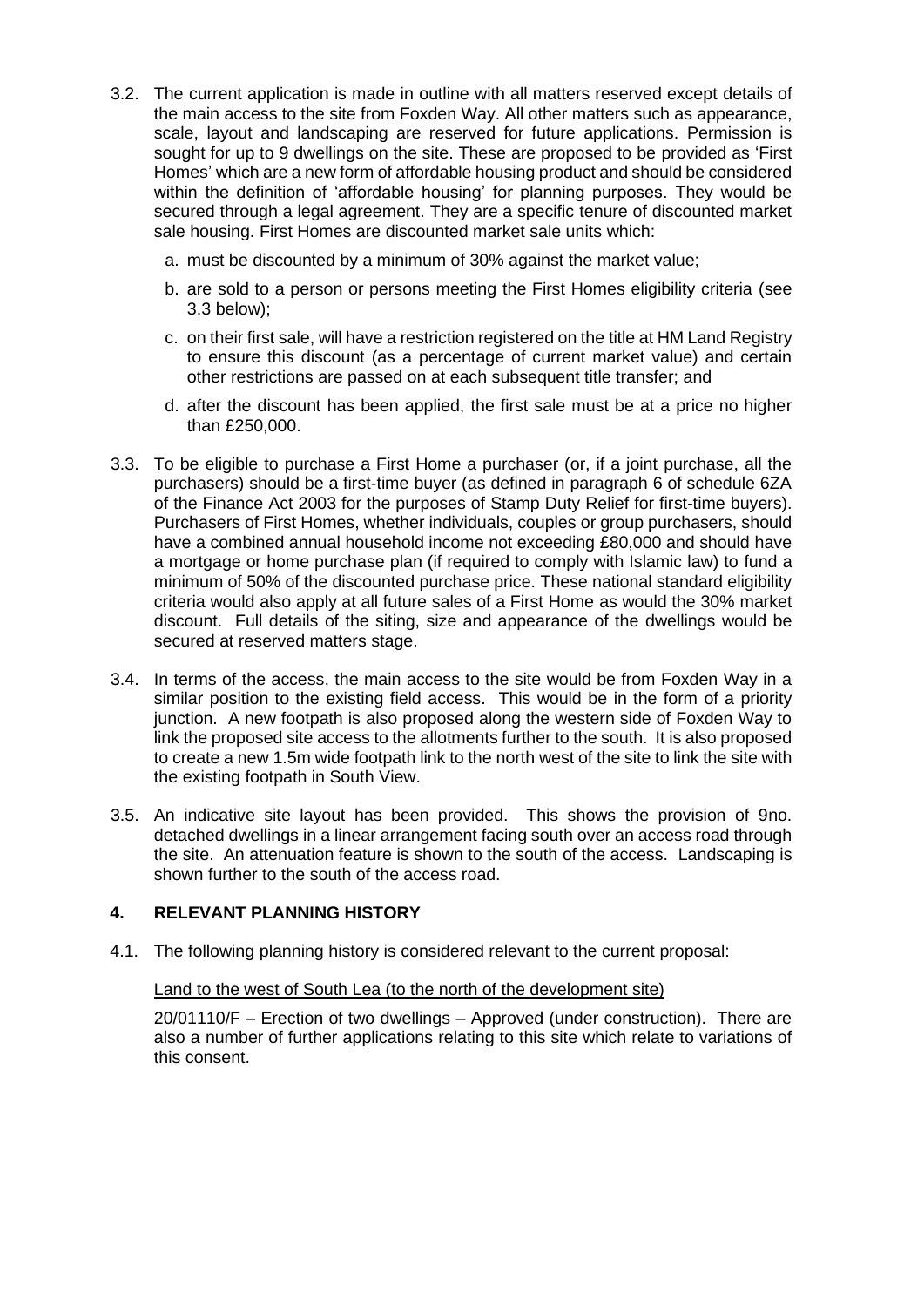- 3.2. The current application is made in outline with all matters reserved except details of the main access to the site from Foxden Way. All other matters such as appearance, scale, layout and landscaping are reserved for future applications. Permission is sought for up to 9 dwellings on the site. These are proposed to be provided as 'First Homes' which are a new form of affordable housing product and should be considered within the definition of 'affordable housing' for planning purposes. They would be secured through a legal agreement. They are a specific tenure of discounted market sale housing. First Homes are discounted market sale units which:
	- a. must be discounted by a minimum of 30% against the market value;
	- b. are sold to a person or persons meeting the First Homes eligibility criteria (see 3.3 below);
	- c. on their first sale, will have a restriction registered on the title at HM Land Registry to ensure this discount (as a percentage of current market value) and certain other restrictions are passed on at each subsequent title transfer; and
	- d. after the discount has been applied, the first sale must be at a price no higher than £250,000.
- 3.3. To be eligible to purchase a First Home a purchaser (or, if a joint purchase, all the purchasers) should be a first-time buyer (as defined in paragraph 6 of schedule 6ZA of the Finance Act 2003 for the purposes of Stamp Duty Relief for first-time buyers). Purchasers of First Homes, whether individuals, couples or group purchasers, should have a combined annual household income not exceeding £80,000 and should have a mortgage or home purchase plan (if required to comply with Islamic law) to fund a minimum of 50% of the discounted purchase price. These national standard eligibility criteria would also apply at all future sales of a First Home as would the 30% market discount. Full details of the siting, size and appearance of the dwellings would be secured at reserved matters stage.
- 3.4. In terms of the access, the main access to the site would be from Foxden Way in a similar position to the existing field access. This would be in the form of a priority junction. A new footpath is also proposed along the western side of Foxden Way to link the proposed site access to the allotments further to the south. It is also proposed to create a new 1.5m wide footpath link to the north west of the site to link the site with the existing footpath in South View.
- 3.5. An indicative site layout has been provided. This shows the provision of 9no. detached dwellings in a linear arrangement facing south over an access road through the site. An attenuation feature is shown to the south of the access. Landscaping is shown further to the south of the access road.

## **4. RELEVANT PLANNING HISTORY**

4.1. The following planning history is considered relevant to the current proposal:

### Land to the west of South Lea (to the north of the development site)

20/01110/F – Erection of two dwellings – Approved (under construction). There are also a number of further applications relating to this site which relate to variations of this consent.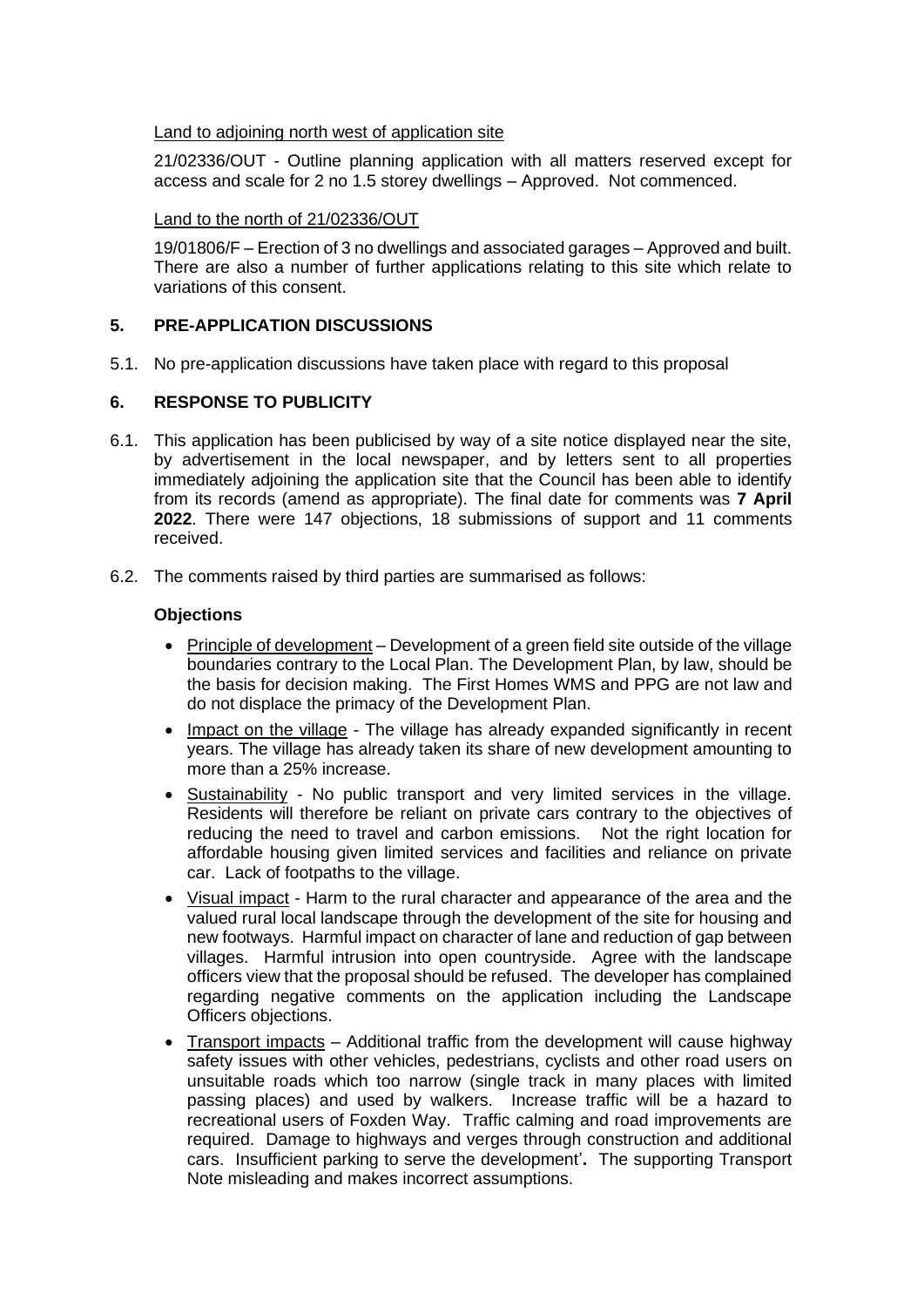## Land to adjoining north west of application site

21/02336/OUT - Outline planning application with all matters reserved except for access and scale for 2 no 1.5 storey dwellings – Approved. Not commenced.

# Land to the north of 21/02336/OUT

19/01806/F – Erection of 3 no dwellings and associated garages – Approved and built. There are also a number of further applications relating to this site which relate to variations of this consent.

# **5. PRE-APPLICATION DISCUSSIONS**

5.1. No pre-application discussions have taken place with regard to this proposal

# **6. RESPONSE TO PUBLICITY**

- 6.1. This application has been publicised by way of a site notice displayed near the site, by advertisement in the local newspaper, and by letters sent to all properties immediately adjoining the application site that the Council has been able to identify from its records (amend as appropriate). The final date for comments was **7 April 2022**. There were 147 objections, 18 submissions of support and 11 comments received.
- 6.2. The comments raised by third parties are summarised as follows:

## **Objections**

- Principle of development Development of a green field site outside of the village boundaries contrary to the Local Plan. The Development Plan, by law, should be the basis for decision making. The First Homes WMS and PPG are not law and do not displace the primacy of the Development Plan.
- Impact on the village The village has already expanded significantly in recent years. The village has already taken its share of new development amounting to more than a 25% increase.
- Sustainability No public transport and very limited services in the village. Residents will therefore be reliant on private cars contrary to the objectives of reducing the need to travel and carbon emissions. Not the right location for affordable housing given limited services and facilities and reliance on private car. Lack of footpaths to the village.
- Visual impact Harm to the rural character and appearance of the area and the valued rural local landscape through the development of the site for housing and new footways.Harmful impact on character of lane and reduction of gap between villages. Harmful intrusion into open countryside. Agree with the landscape officers view that the proposal should be refused. The developer has complained regarding negative comments on the application including the Landscape Officers objections.
- Transport impacts Additional traffic from the development will cause highway safety issues with other vehicles, pedestrians, cyclists and other road users on unsuitable roads which too narrow (single track in many places with limited passing places) and used by walkers. Increase traffic will be a hazard to recreational users of Foxden Way. Traffic calming and road improvements are required. Damage to highways and verges through construction and additional cars. Insufficient parking to serve the development'**.** The supporting Transport Note misleading and makes incorrect assumptions.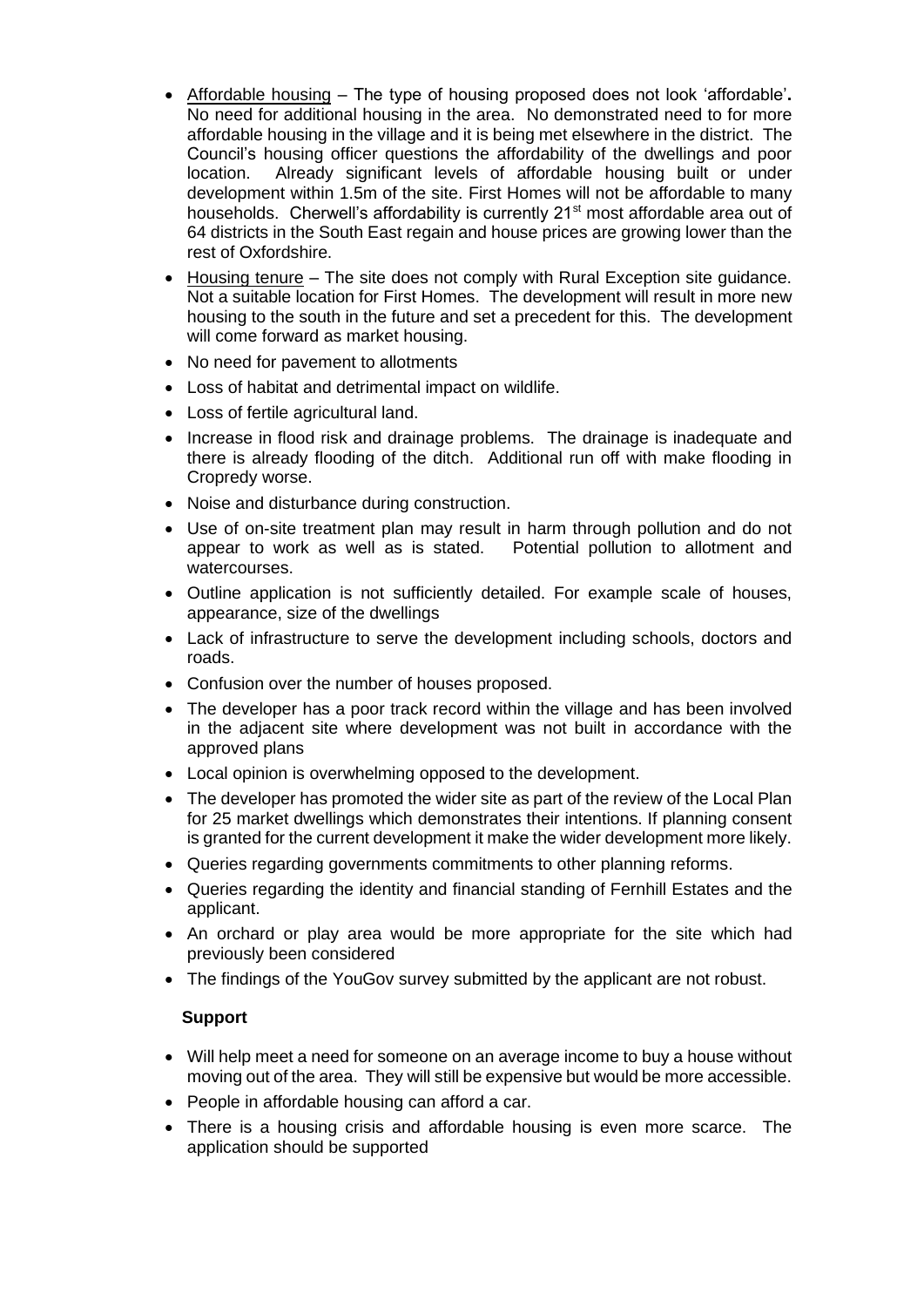- Affordable housing The type of housing proposed does not look 'affordable'**.**  No need for additional housing in the area. No demonstrated need to for more affordable housing in the village and it is being met elsewhere in the district. The Council's housing officer questions the affordability of the dwellings and poor location. Already significant levels of affordable housing built or under development within 1.5m of the site. First Homes will not be affordable to many households. Cherwell's affordability is currently 21<sup>st</sup> most affordable area out of 64 districts in the South East regain and house prices are growing lower than the rest of Oxfordshire.
- Housing tenure The site does not comply with Rural Exception site guidance. Not a suitable location for First Homes. The development will result in more new housing to the south in the future and set a precedent for this. The development will come forward as market housing.
- No need for pavement to allotments
- Loss of habitat and detrimental impact on wildlife.
- Loss of fertile agricultural land.
- Increase in flood risk and drainage problems. The drainage is inadequate and there is already flooding of the ditch. Additional run off with make flooding in Cropredy worse.
- Noise and disturbance during construction.
- Use of on-site treatment plan may result in harm through pollution and do not appear to work as well as is stated. Potential pollution to allotment and watercourses.
- Outline application is not sufficiently detailed. For example scale of houses, appearance, size of the dwellings
- Lack of infrastructure to serve the development including schools, doctors and roads.
- Confusion over the number of houses proposed.
- The developer has a poor track record within the village and has been involved in the adjacent site where development was not built in accordance with the approved plans
- Local opinion is overwhelming opposed to the development.
- The developer has promoted the wider site as part of the review of the Local Plan for 25 market dwellings which demonstrates their intentions. If planning consent is granted for the current development it make the wider development more likely.
- Queries regarding governments commitments to other planning reforms.
- Queries regarding the identity and financial standing of Fernhill Estates and the applicant.
- An orchard or play area would be more appropriate for the site which had previously been considered
- The findings of the YouGov survey submitted by the applicant are not robust.

## **Support**

- Will help meet a need for someone on an average income to buy a house without moving out of the area. They will still be expensive but would be more accessible.
- People in affordable housing can afford a car.
- There is a housing crisis and affordable housing is even more scarce. The application should be supported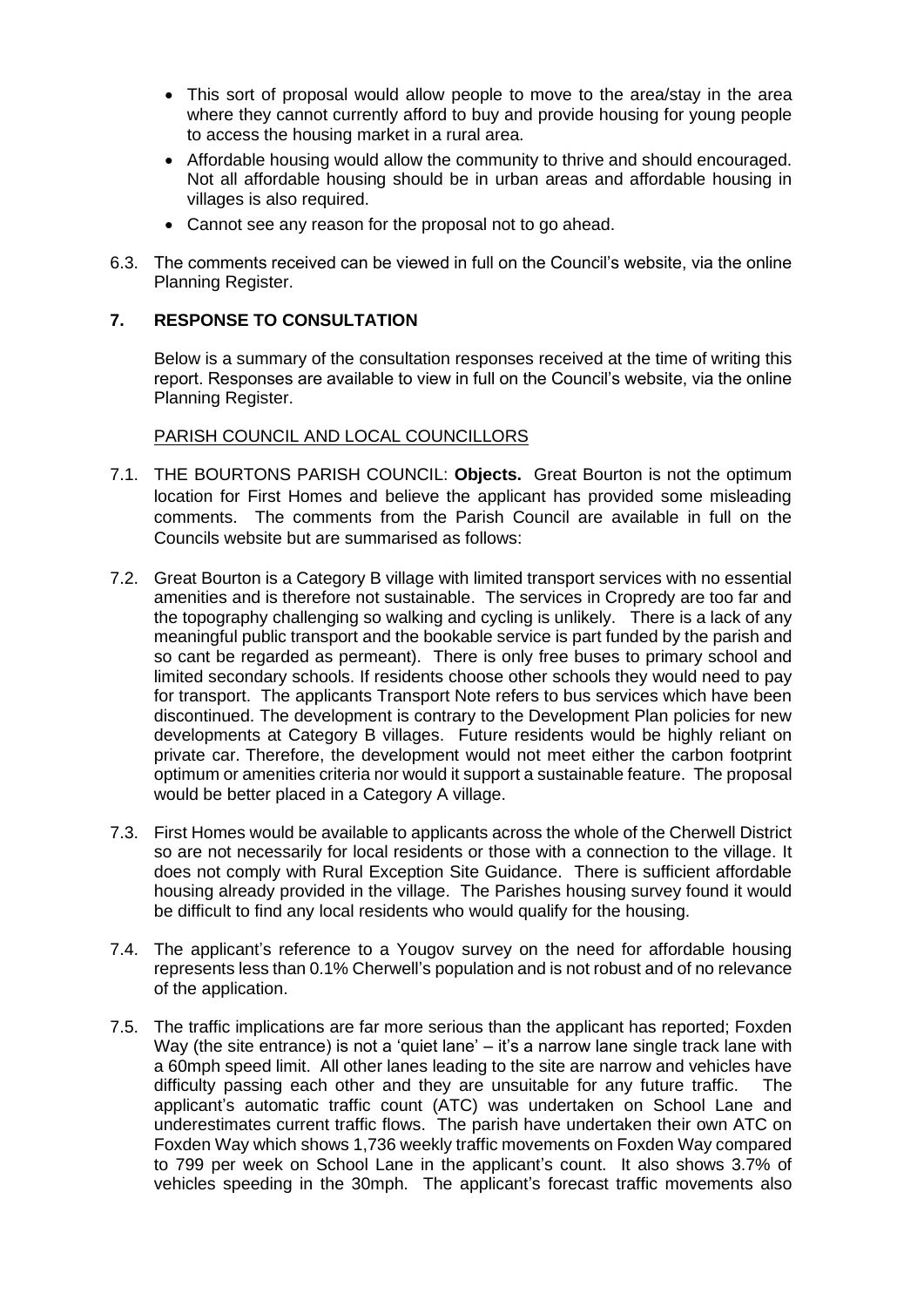- This sort of proposal would allow people to move to the area/stay in the area where they cannot currently afford to buy and provide housing for young people to access the housing market in a rural area.
- Affordable housing would allow the community to thrive and should encouraged. Not all affordable housing should be in urban areas and affordable housing in villages is also required.
- Cannot see any reason for the proposal not to go ahead.
- 6.3. The comments received can be viewed in full on the Council's website, via the online Planning Register.

# **7. RESPONSE TO CONSULTATION**

Below is a summary of the consultation responses received at the time of writing this report. Responses are available to view in full on the Council's website, via the online Planning Register.

## PARISH COUNCIL AND LOCAL COUNCILLORS

- 7.1. THE BOURTONS PARISH COUNCIL: **Objects.** Great Bourton is not the optimum location for First Homes and believe the applicant has provided some misleading comments. The comments from the Parish Council are available in full on the Councils website but are summarised as follows:
- 7.2. Great Bourton is a Category B village with limited transport services with no essential amenities and is therefore not sustainable. The services in Cropredy are too far and the topography challenging so walking and cycling is unlikely. There is a lack of any meaningful public transport and the bookable service is part funded by the parish and so cant be regarded as permeant). There is only free buses to primary school and limited secondary schools. If residents choose other schools they would need to pay for transport. The applicants Transport Note refers to bus services which have been discontinued. The development is contrary to the Development Plan policies for new developments at Category B villages. Future residents would be highly reliant on private car. Therefore, the development would not meet either the carbon footprint optimum or amenities criteria nor would it support a sustainable feature. The proposal would be better placed in a Category A village.
- 7.3. First Homes would be available to applicants across the whole of the Cherwell District so are not necessarily for local residents or those with a connection to the village. It does not comply with Rural Exception Site Guidance. There is sufficient affordable housing already provided in the village. The Parishes housing survey found it would be difficult to find any local residents who would qualify for the housing.
- 7.4. The applicant's reference to a Yougov survey on the need for affordable housing represents less than 0.1% Cherwell's population and is not robust and of no relevance of the application.
- 7.5. The traffic implications are far more serious than the applicant has reported; Foxden Way (the site entrance) is not a 'quiet lane' – it's a narrow lane single track lane with a 60mph speed limit. All other lanes leading to the site are narrow and vehicles have difficulty passing each other and they are unsuitable for any future traffic. The applicant's automatic traffic count (ATC) was undertaken on School Lane and underestimates current traffic flows. The parish have undertaken their own ATC on Foxden Way which shows 1,736 weekly traffic movements on Foxden Way compared to 799 per week on School Lane in the applicant's count. It also shows 3.7% of vehicles speeding in the 30mph. The applicant's forecast traffic movements also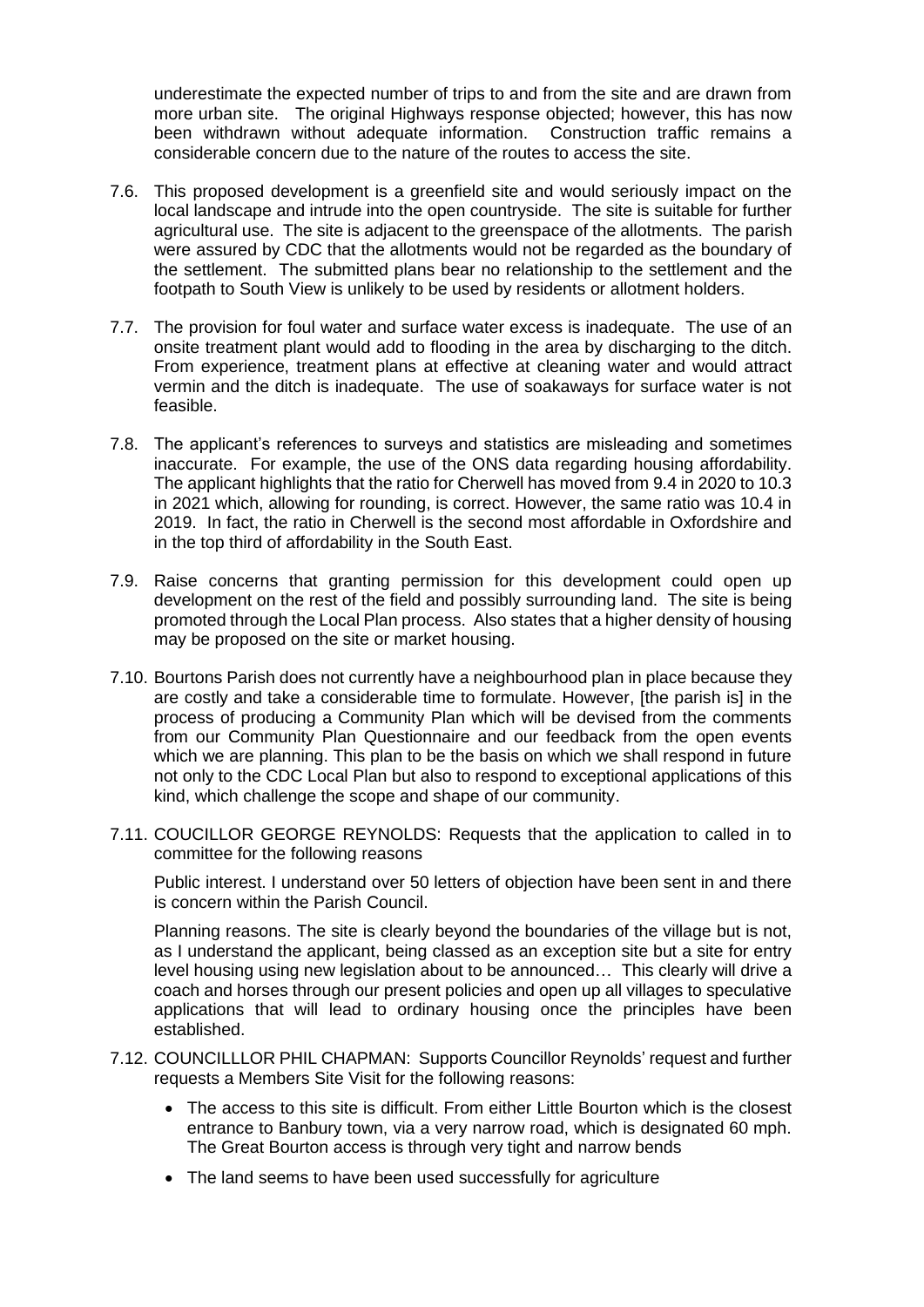underestimate the expected number of trips to and from the site and are drawn from more urban site. The original Highways response objected; however, this has now been withdrawn without adequate information. Construction traffic remains a considerable concern due to the nature of the routes to access the site.

- 7.6. This proposed development is a greenfield site and would seriously impact on the local landscape and intrude into the open countryside. The site is suitable for further agricultural use. The site is adjacent to the greenspace of the allotments. The parish were assured by CDC that the allotments would not be regarded as the boundary of the settlement. The submitted plans bear no relationship to the settlement and the footpath to South View is unlikely to be used by residents or allotment holders.
- 7.7. The provision for foul water and surface water excess is inadequate. The use of an onsite treatment plant would add to flooding in the area by discharging to the ditch. From experience, treatment plans at effective at cleaning water and would attract vermin and the ditch is inadequate. The use of soakaways for surface water is not feasible.
- 7.8. The applicant's references to surveys and statistics are misleading and sometimes inaccurate. For example, the use of the ONS data regarding housing affordability. The applicant highlights that the ratio for Cherwell has moved from 9.4 in 2020 to 10.3 in 2021 which, allowing for rounding, is correct. However, the same ratio was 10.4 in 2019. In fact, the ratio in Cherwell is the second most affordable in Oxfordshire and in the top third of affordability in the South East.
- 7.9. Raise concerns that granting permission for this development could open up development on the rest of the field and possibly surrounding land. The site is being promoted through the Local Plan process. Also states that a higher density of housing may be proposed on the site or market housing.
- 7.10. Bourtons Parish does not currently have a neighbourhood plan in place because they are costly and take a considerable time to formulate. However, [the parish is] in the process of producing a Community Plan which will be devised from the comments from our Community Plan Questionnaire and our feedback from the open events which we are planning. This plan to be the basis on which we shall respond in future not only to the CDC Local Plan but also to respond to exceptional applications of this kind, which challenge the scope and shape of our community.
- 7.11. COUCILLOR GEORGE REYNOLDS: Requests that the application to called in to committee for the following reasons

Public interest. I understand over 50 letters of objection have been sent in and there is concern within the Parish Council.

Planning reasons. The site is clearly beyond the boundaries of the village but is not, as I understand the applicant, being classed as an exception site but a site for entry level housing using new legislation about to be announced… This clearly will drive a coach and horses through our present policies and open up all villages to speculative applications that will lead to ordinary housing once the principles have been established.

- 7.12. COUNCILLLOR PHIL CHAPMAN: Supports Councillor Reynolds' request and further requests a Members Site Visit for the following reasons:
	- The access to this site is difficult. From either Little Bourton which is the closest entrance to Banbury town, via a very narrow road, which is designated 60 mph. The Great Bourton access is through very tight and narrow bends
	- The land seems to have been used successfully for agriculture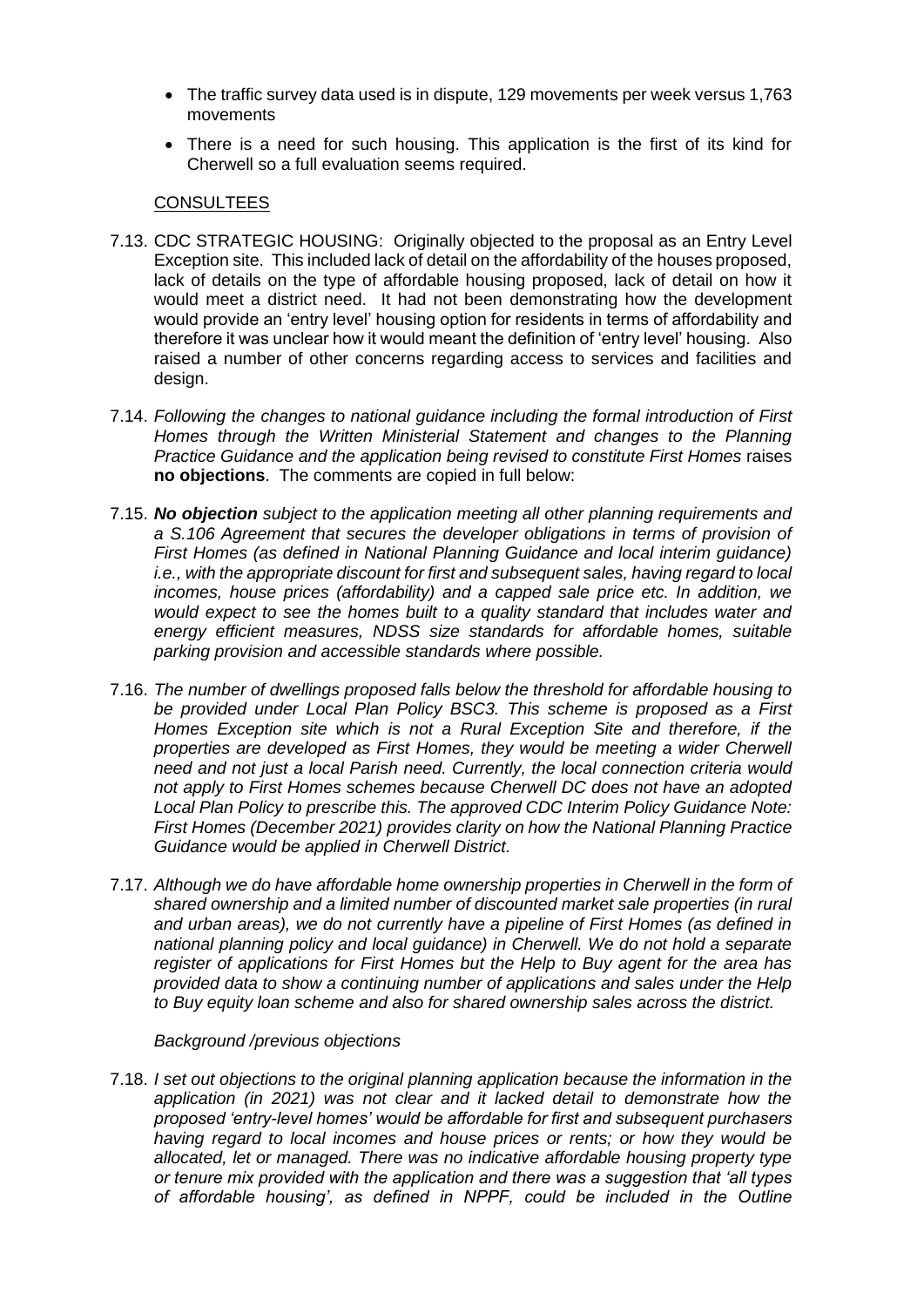- The traffic survey data used is in dispute, 129 movements per week versus 1,763 movements
- There is a need for such housing. This application is the first of its kind for Cherwell so a full evaluation seems required.

### CONSULTEES

- 7.13. CDC STRATEGIC HOUSING: Originally objected to the proposal as an Entry Level Exception site. This included lack of detail on the affordability of the houses proposed, lack of details on the type of affordable housing proposed, lack of detail on how it would meet a district need. It had not been demonstrating how the development would provide an 'entry level' housing option for residents in terms of affordability and therefore it was unclear how it would meant the definition of 'entry level' housing. Also raised a number of other concerns regarding access to services and facilities and design.
- 7.14. *Following the changes to national guidance including the formal introduction of First Homes through the Written Ministerial Statement and changes to the Planning Practice Guidance and the application being revised to constitute First Homes* raises **no objections**. The comments are copied in full below:
- 7.15. *No objection subject to the application meeting all other planning requirements and a S.106 Agreement that secures the developer obligations in terms of provision of First Homes (as defined in National Planning Guidance and local interim guidance) i.e., with the appropriate discount for first and subsequent sales, having regard to local incomes, house prices (affordability) and a capped sale price etc. In addition, we would expect to see the homes built to a quality standard that includes water and energy efficient measures, NDSS size standards for affordable homes, suitable parking provision and accessible standards where possible.*
- 7.16. *The number of dwellings proposed falls below the threshold for affordable housing to be provided under Local Plan Policy BSC3. This scheme is proposed as a First Homes Exception site which is not a Rural Exception Site and therefore, if the properties are developed as First Homes, they would be meeting a wider Cherwell need and not just a local Parish need. Currently, the local connection criteria would not apply to First Homes schemes because Cherwell DC does not have an adopted Local Plan Policy to prescribe this. The approved CDC Interim Policy Guidance Note: First Homes (December 2021) provides clarity on how the National Planning Practice Guidance would be applied in Cherwell District.*
- 7.17. *Although we do have affordable home ownership properties in Cherwell in the form of shared ownership and a limited number of discounted market sale properties (in rural and urban areas), we do not currently have a pipeline of First Homes (as defined in national planning policy and local guidance) in Cherwell. We do not hold a separate register of applications for First Homes but the Help to Buy agent for the area has provided data to show a continuing number of applications and sales under the Help to Buy equity loan scheme and also for shared ownership sales across the district.*

*Background /previous objections* 

7.18. *I set out objections to the original planning application because the information in the application (in 2021) was not clear and it lacked detail to demonstrate how the proposed 'entry-level homes' would be affordable for first and subsequent purchasers having regard to local incomes and house prices or rents; or how they would be allocated, let or managed. There was no indicative affordable housing property type or tenure mix provided with the application and there was a suggestion that 'all types of affordable housing', as defined in NPPF, could be included in the Outline*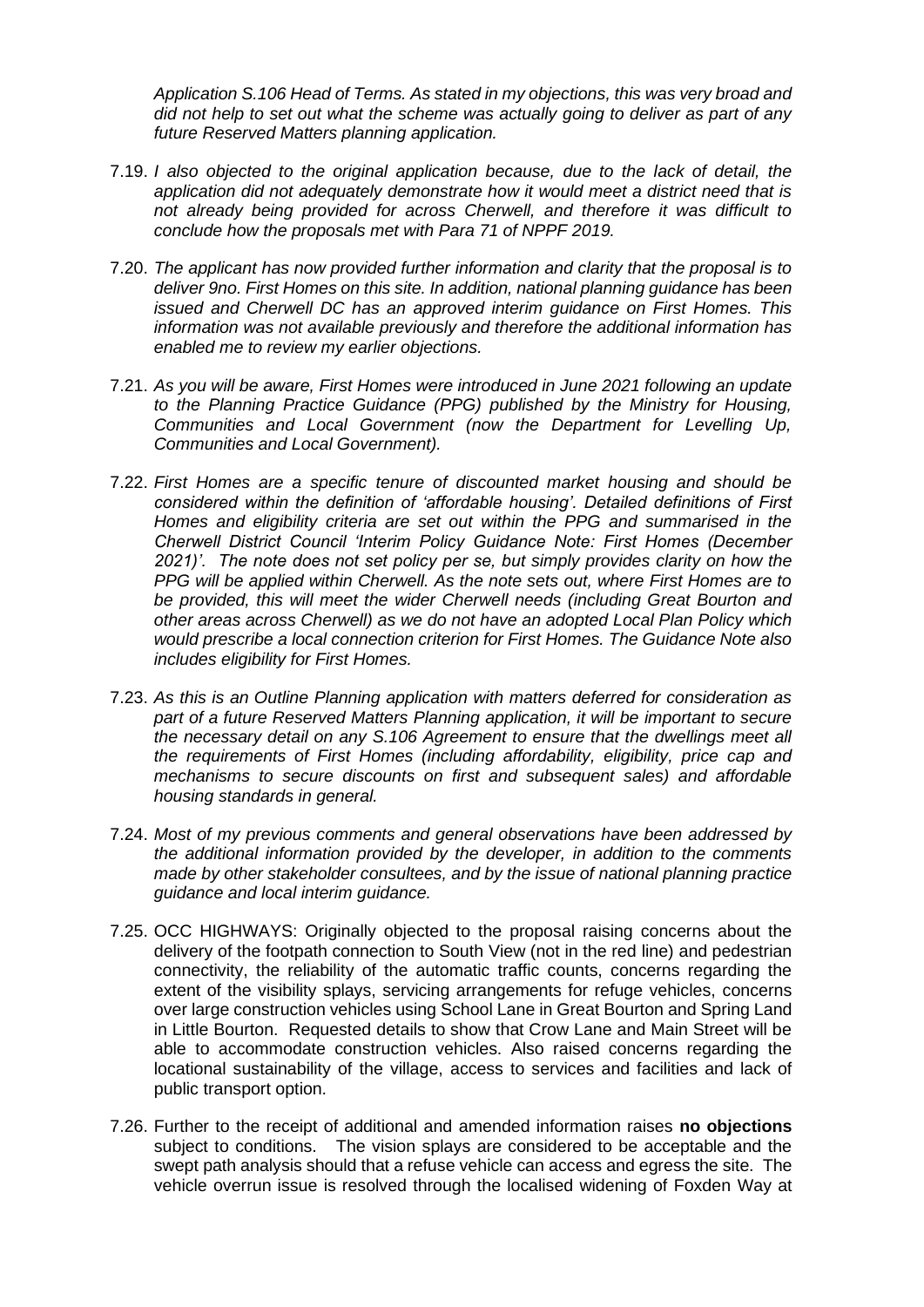*Application S.106 Head of Terms. As stated in my objections, this was very broad and did not help to set out what the scheme was actually going to deliver as part of any future Reserved Matters planning application.* 

- 7.19. *I also objected to the original application because, due to the lack of detail, the application did not adequately demonstrate how it would meet a district need that is not already being provided for across Cherwell, and therefore it was difficult to conclude how the proposals met with Para 71 of NPPF 2019.*
- 7.20. *The applicant has now provided further information and clarity that the proposal is to deliver 9no. First Homes on this site. In addition, national planning guidance has been issued and Cherwell DC has an approved interim guidance on First Homes. This information was not available previously and therefore the additional information has enabled me to review my earlier objections.*
- 7.21. *As you will be aware, First Homes were introduced in June 2021 following an update to the Planning Practice Guidance (PPG) published by the Ministry for Housing, Communities and Local Government (now the Department for Levelling Up, Communities and Local Government).*
- 7.22. *First Homes are a specific tenure of discounted market housing and should be considered within the definition of 'affordable housing'. Detailed definitions of First Homes and eligibility criteria are set out within the PPG and summarised in the Cherwell District Council 'Interim Policy Guidance Note: First Homes (December 2021)'. The note does not set policy per se, but simply provides clarity on how the PPG will be applied within Cherwell. As the note sets out, where First Homes are to be provided, this will meet the wider Cherwell needs (including Great Bourton and other areas across Cherwell) as we do not have an adopted Local Plan Policy which would prescribe a local connection criterion for First Homes. The Guidance Note also includes eligibility for First Homes.*
- 7.23. *As this is an Outline Planning application with matters deferred for consideration as part of a future Reserved Matters Planning application, it will be important to secure the necessary detail on any S.106 Agreement to ensure that the dwellings meet all the requirements of First Homes (including affordability, eligibility, price cap and mechanisms to secure discounts on first and subsequent sales) and affordable housing standards in general.*
- 7.24. *Most of my previous comments and general observations have been addressed by the additional information provided by the developer, in addition to the comments made by other stakeholder consultees, and by the issue of national planning practice guidance and local interim guidance.*
- 7.25. OCC HIGHWAYS: Originally objected to the proposal raising concerns about the delivery of the footpath connection to South View (not in the red line) and pedestrian connectivity, the reliability of the automatic traffic counts, concerns regarding the extent of the visibility splays, servicing arrangements for refuge vehicles, concerns over large construction vehicles using School Lane in Great Bourton and Spring Land in Little Bourton. Requested details to show that Crow Lane and Main Street will be able to accommodate construction vehicles. Also raised concerns regarding the locational sustainability of the village, access to services and facilities and lack of public transport option.
- 7.26. Further to the receipt of additional and amended information raises **no objections** subject to conditions. The vision splays are considered to be acceptable and the swept path analysis should that a refuse vehicle can access and egress the site. The vehicle overrun issue is resolved through the localised widening of Foxden Way at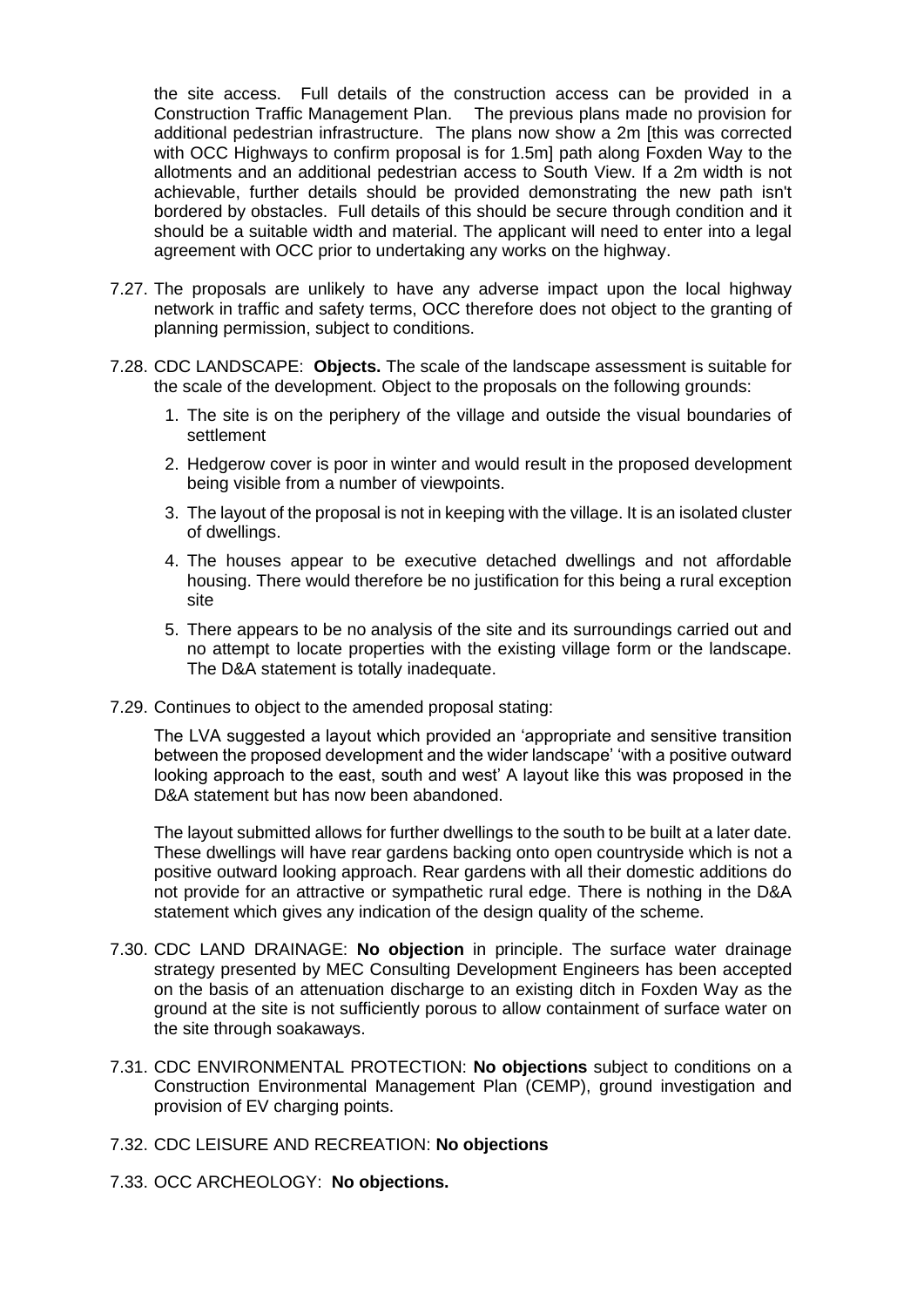the site access. Full details of the construction access can be provided in a Construction Traffic Management Plan. The previous plans made no provision for additional pedestrian infrastructure. The plans now show a 2m [this was corrected with OCC Highways to confirm proposal is for 1.5m] path along Foxden Way to the allotments and an additional pedestrian access to South View. If a 2m width is not achievable, further details should be provided demonstrating the new path isn't bordered by obstacles. Full details of this should be secure through condition and it should be a suitable width and material. The applicant will need to enter into a legal agreement with OCC prior to undertaking any works on the highway.

- 7.27. The proposals are unlikely to have any adverse impact upon the local highway network in traffic and safety terms, OCC therefore does not object to the granting of planning permission, subject to conditions.
- 7.28. CDC LANDSCAPE: **Objects.** The scale of the landscape assessment is suitable for the scale of the development. Object to the proposals on the following grounds:
	- 1. The site is on the periphery of the village and outside the visual boundaries of settlement
	- 2. Hedgerow cover is poor in winter and would result in the proposed development being visible from a number of viewpoints.
	- 3. The layout of the proposal is not in keeping with the village. It is an isolated cluster of dwellings.
	- 4. The houses appear to be executive detached dwellings and not affordable housing. There would therefore be no justification for this being a rural exception site
	- 5. There appears to be no analysis of the site and its surroundings carried out and no attempt to locate properties with the existing village form or the landscape. The D&A statement is totally inadequate.
- 7.29. Continues to object to the amended proposal stating:

The LVA suggested a layout which provided an 'appropriate and sensitive transition between the proposed development and the wider landscape' 'with a positive outward looking approach to the east, south and west' A layout like this was proposed in the D&A statement but has now been abandoned

The layout submitted allows for further dwellings to the south to be built at a later date. These dwellings will have rear gardens backing onto open countryside which is not a positive outward looking approach. Rear gardens with all their domestic additions do not provide for an attractive or sympathetic rural edge. There is nothing in the D&A statement which gives any indication of the design quality of the scheme.

- 7.30. CDC LAND DRAINAGE: **No objection** in principle. The surface water drainage strategy presented by MEC Consulting Development Engineers has been accepted on the basis of an attenuation discharge to an existing ditch in Foxden Way as the ground at the site is not sufficiently porous to allow containment of surface water on the site through soakaways.
- 7.31. CDC ENVIRONMENTAL PROTECTION: **No objections** subject to conditions on a Construction Environmental Management Plan (CEMP), ground investigation and provision of EV charging points.
- 7.32. CDC LEISURE AND RECREATION: **No objections**
- 7.33. OCC ARCHEOLOGY: **No objections.**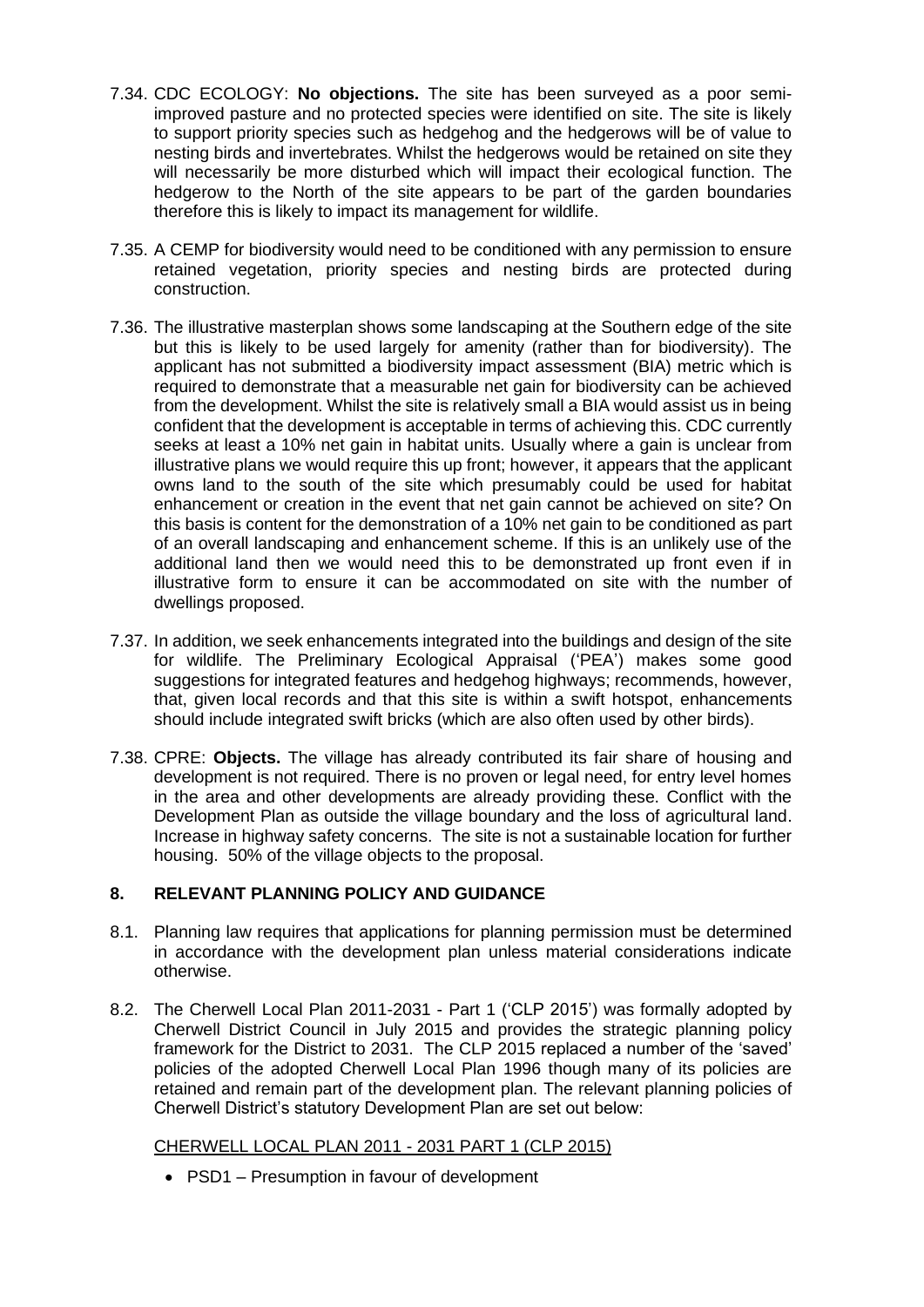- 7.34. CDC ECOLOGY: **No objections.** The site has been surveyed as a poor semiimproved pasture and no protected species were identified on site. The site is likely to support priority species such as hedgehog and the hedgerows will be of value to nesting birds and invertebrates. Whilst the hedgerows would be retained on site they will necessarily be more disturbed which will impact their ecological function. The hedgerow to the North of the site appears to be part of the garden boundaries therefore this is likely to impact its management for wildlife.
- 7.35. A CEMP for biodiversity would need to be conditioned with any permission to ensure retained vegetation, priority species and nesting birds are protected during construction.
- 7.36. The illustrative masterplan shows some landscaping at the Southern edge of the site but this is likely to be used largely for amenity (rather than for biodiversity). The applicant has not submitted a biodiversity impact assessment (BIA) metric which is required to demonstrate that a measurable net gain for biodiversity can be achieved from the development. Whilst the site is relatively small a BIA would assist us in being confident that the development is acceptable in terms of achieving this. CDC currently seeks at least a 10% net gain in habitat units. Usually where a gain is unclear from illustrative plans we would require this up front; however, it appears that the applicant owns land to the south of the site which presumably could be used for habitat enhancement or creation in the event that net gain cannot be achieved on site? On this basis is content for the demonstration of a 10% net gain to be conditioned as part of an overall landscaping and enhancement scheme. If this is an unlikely use of the additional land then we would need this to be demonstrated up front even if in illustrative form to ensure it can be accommodated on site with the number of dwellings proposed.
- 7.37. In addition, we seek enhancements integrated into the buildings and design of the site for wildlife. The Preliminary Ecological Appraisal ('PEA') makes some good suggestions for integrated features and hedgehog highways; recommends, however, that, given local records and that this site is within a swift hotspot, enhancements should include integrated swift bricks (which are also often used by other birds).
- 7.38. CPRE: **Objects.** The village has already contributed its fair share of housing and development is not required. There is no proven or legal need, for entry level homes in the area and other developments are already providing these. Conflict with the Development Plan as outside the village boundary and the loss of agricultural land. Increase in highway safety concerns. The site is not a sustainable location for further housing. 50% of the village objects to the proposal.

# **8. RELEVANT PLANNING POLICY AND GUIDANCE**

- 8.1. Planning law requires that applications for planning permission must be determined in accordance with the development plan unless material considerations indicate otherwise.
- 8.2. The Cherwell Local Plan 2011-2031 Part 1 ('CLP 2015') was formally adopted by Cherwell District Council in July 2015 and provides the strategic planning policy framework for the District to 2031. The CLP 2015 replaced a number of the 'saved' policies of the adopted Cherwell Local Plan 1996 though many of its policies are retained and remain part of the development plan. The relevant planning policies of Cherwell District's statutory Development Plan are set out below:

## CHERWELL LOCAL PLAN 2011 - 2031 PART 1 (CLP 2015)

• PSD1 – Presumption in favour of development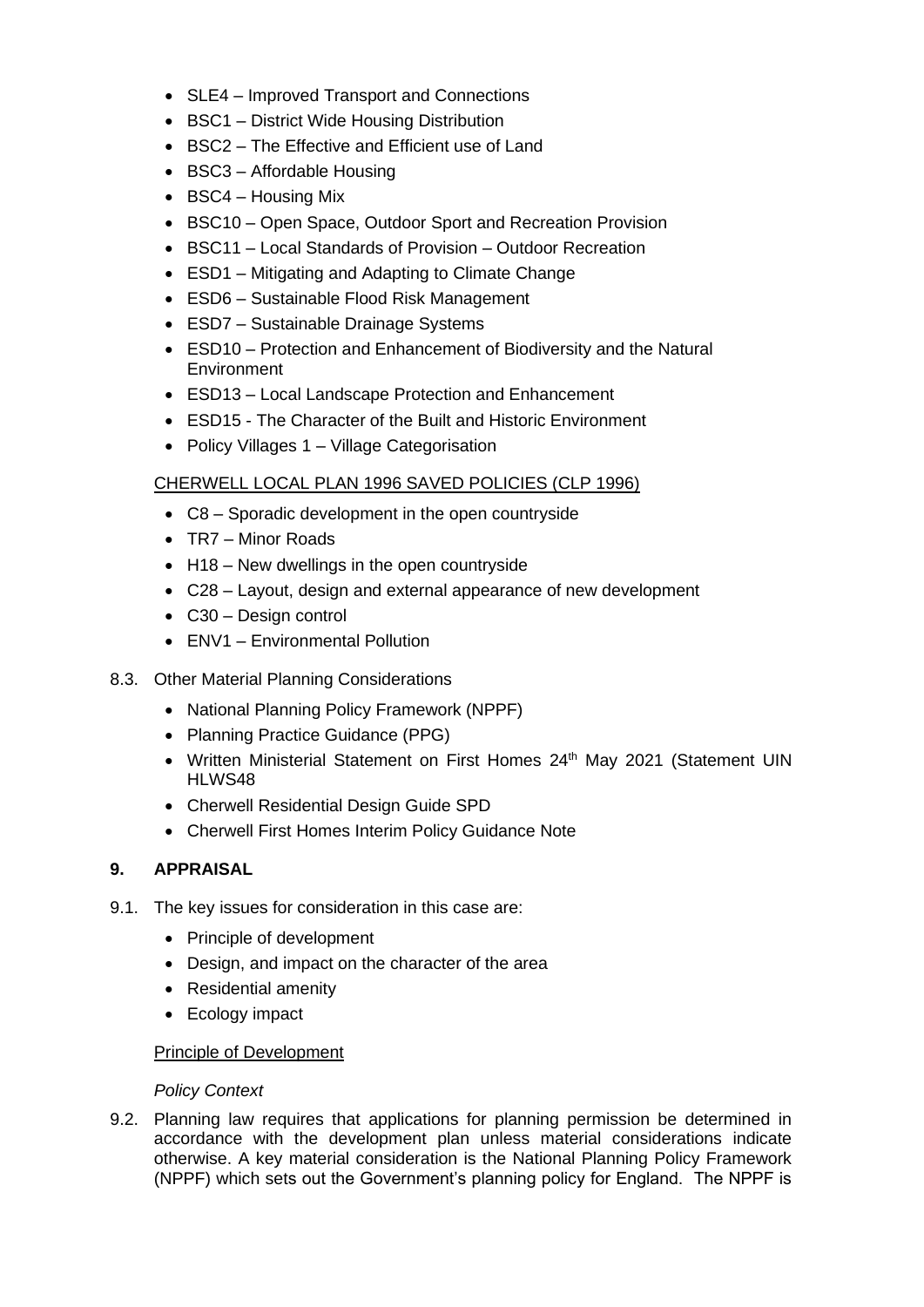- SLE4 Improved Transport and Connections
- BSC1 District Wide Housing Distribution
- BSC2 The Effective and Efficient use of Land
- BSC3 Affordable Housing
- BSC4 Housing Mix
- BSC10 Open Space, Outdoor Sport and Recreation Provision
- BSC11 Local Standards of Provision Outdoor Recreation
- ESD1 Mitigating and Adapting to Climate Change
- ESD6 Sustainable Flood Risk Management
- ESD7 Sustainable Drainage Systems
- ESD10 Protection and Enhancement of Biodiversity and the Natural **Environment**
- ESD13 Local Landscape Protection and Enhancement
- ESD15 The Character of the Built and Historic Environment
- Policy Villages 1 Village Categorisation

## CHERWELL LOCAL PLAN 1996 SAVED POLICIES (CLP 1996)

- C8 Sporadic development in the open countryside
- TR7 Minor Roads
- H18 New dwellings in the open countryside
- C28 Layout, design and external appearance of new development
- C30 Design control
- ENV1 Environmental Pollution
- 8.3. Other Material Planning Considerations
	- National Planning Policy Framework (NPPF)
	- Planning Practice Guidance (PPG)
	- Written Ministerial Statement on First Homes 24<sup>th</sup> May 2021 (Statement UIN HLWS48
	- Cherwell Residential Design Guide SPD
	- Cherwell First Homes Interim Policy Guidance Note

## **9. APPRAISAL**

- 9.1. The key issues for consideration in this case are:
	- Principle of development
	- Design, and impact on the character of the area
	- Residential amenity
	- Ecology impact

## Principle of Development

## *Policy Context*

9.2. Planning law requires that applications for planning permission be determined in accordance with the development plan unless material considerations indicate otherwise. A key material consideration is the National Planning Policy Framework (NPPF) which sets out the Government's planning policy for England. The NPPF is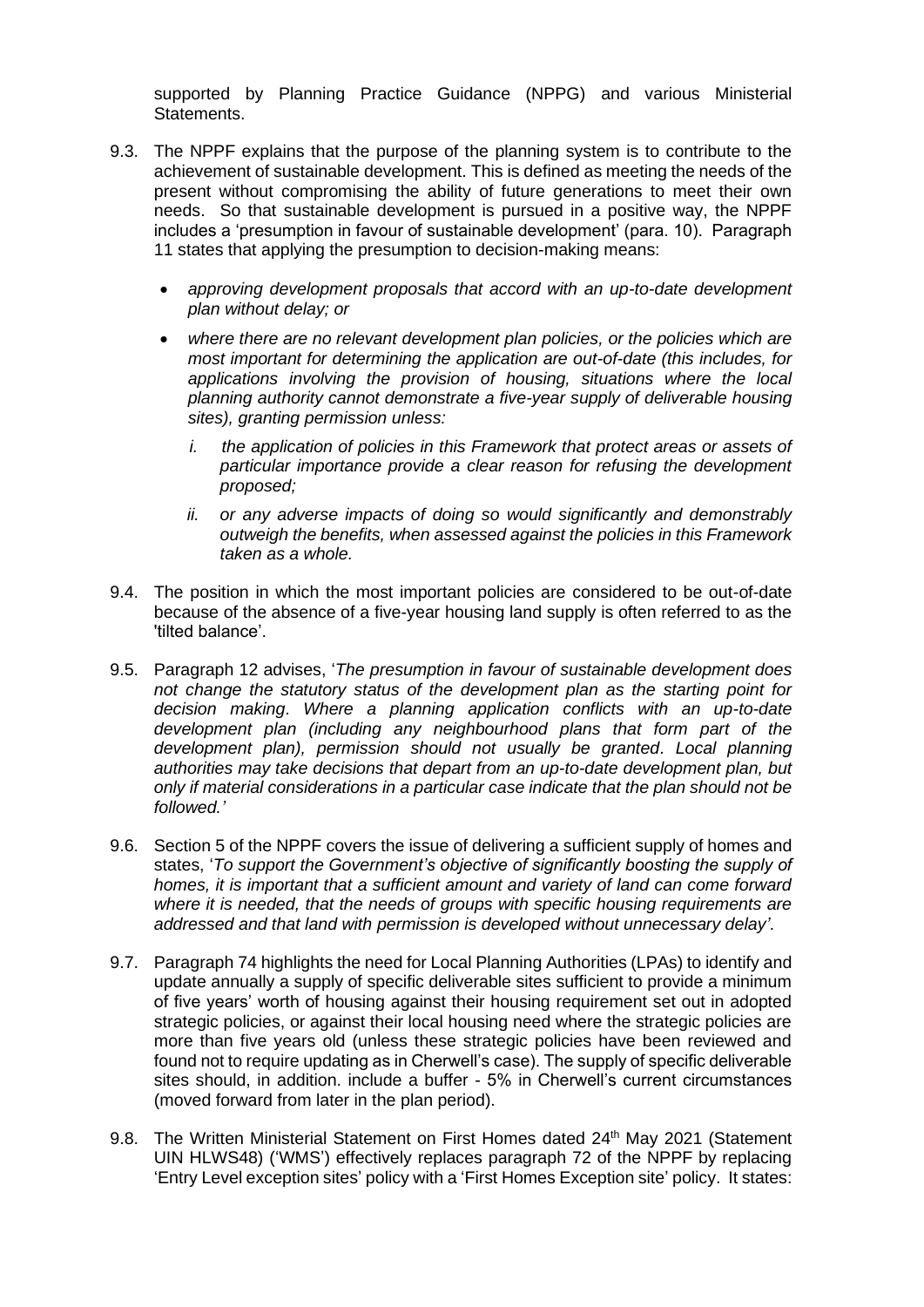supported by Planning Practice Guidance (NPPG) and various Ministerial Statements.

- 9.3. The NPPF explains that the purpose of the planning system is to contribute to the achievement of sustainable development. This is defined as meeting the needs of the present without compromising the ability of future generations to meet their own needs. So that sustainable development is pursued in a positive way, the NPPF includes a 'presumption in favour of sustainable development' (para. 10). Paragraph 11 states that applying the presumption to decision-making means:
	- *approving development proposals that accord with an up-to-date development plan without delay; or*
	- *where there are no relevant development plan policies, or the policies which are most important for determining the application are out-of-date (this includes, for applications involving the provision of housing, situations where the local planning authority cannot demonstrate a five-year supply of deliverable housing sites), granting permission unless:*
		- *i. the application of policies in this Framework that protect areas or assets of particular importance provide a clear reason for refusing the development proposed;*
		- *ii. or any adverse impacts of doing so would significantly and demonstrably outweigh the benefits, when assessed against the policies in this Framework taken as a whole.*
- 9.4. The position in which the most important policies are considered to be out-of-date because of the absence of a five-year housing land supply is often referred to as the 'tilted balance'.
- 9.5. Paragraph 12 advises, '*The presumption in favour of sustainable development does not change the statutory status of the development plan as the starting point for decision making*. *Where a planning application conflicts with an up-to-date development plan (including any neighbourhood plans that form part of the development plan), permission should not usually be granted*. *Local planning authorities may take decisions that depart from an up-to-date development plan, but only if material considerations in a particular case indicate that the plan should not be followed.'*
- 9.6. Section 5 of the NPPF covers the issue of delivering a sufficient supply of homes and states, '*To support the Government's objective of significantly boosting the supply of homes, it is important that a sufficient amount and variety of land can come forward where it is needed, that the needs of groups with specific housing requirements are addressed and that land with permission is developed without unnecessary delay'.*
- 9.7. Paragraph 74 highlights the need for Local Planning Authorities (LPAs) to identify and update annually a supply of specific deliverable sites sufficient to provide a minimum of five years' worth of housing against their housing requirement set out in adopted strategic policies, or against their local housing need where the strategic policies are more than five years old (unless these strategic policies have been reviewed and found not to require updating as in Cherwell's case). The supply of specific deliverable sites should, in addition. include a buffer - 5% in Cherwell's current circumstances (moved forward from later in the plan period).
- 9.8. The Written Ministerial Statement on First Homes dated 24<sup>th</sup> May 2021 (Statement UIN HLWS48) ('WMS') effectively replaces paragraph 72 of the NPPF by replacing 'Entry Level exception sites' policy with a 'First Homes Exception site' policy. It states: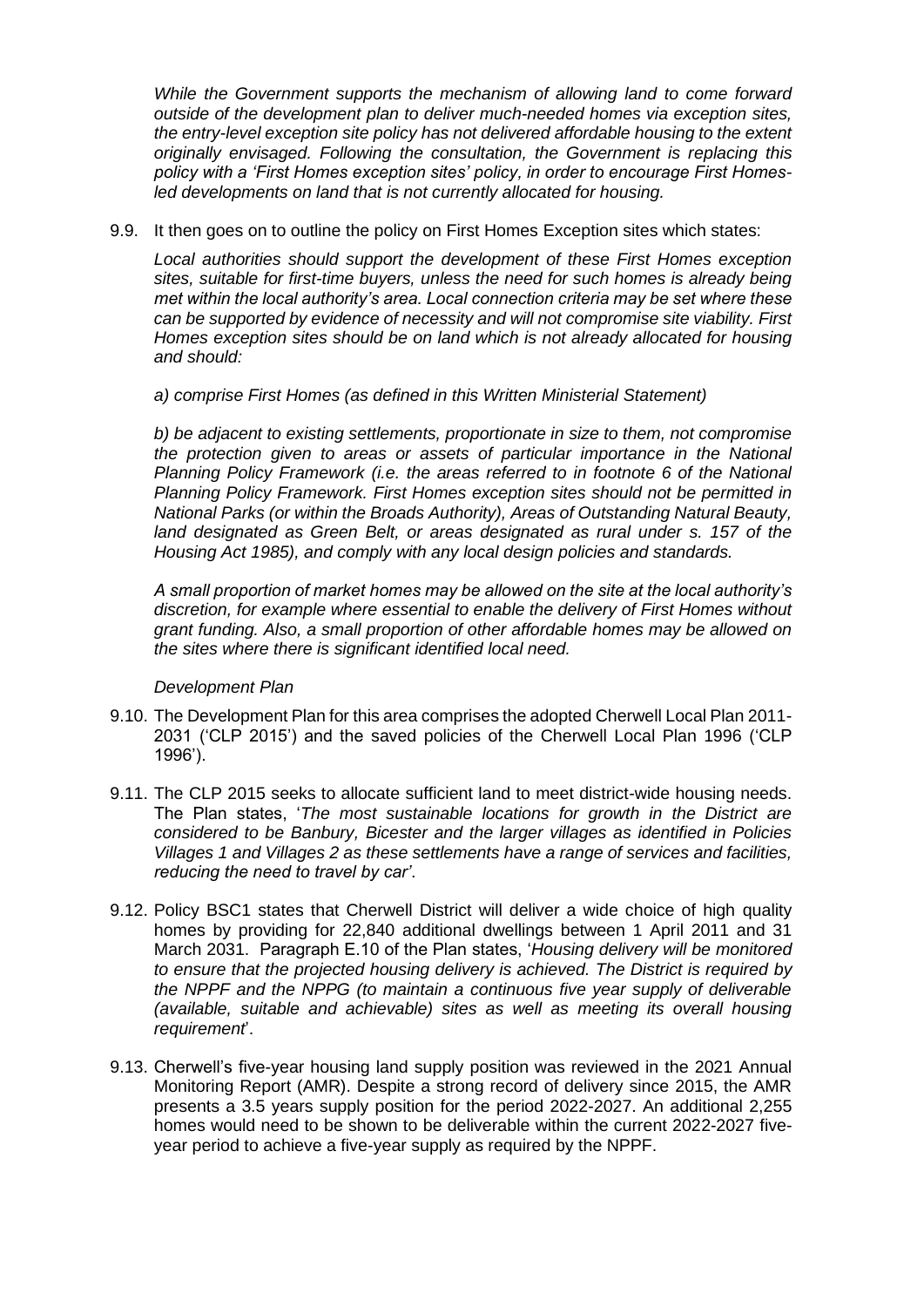*While the Government supports the mechanism of allowing land to come forward outside of the development plan to deliver much-needed homes via exception sites, the entry-level exception site policy has not delivered affordable housing to the extent originally envisaged. Following the consultation, the Government is replacing this policy with a 'First Homes exception sites' policy, in order to encourage First Homesled developments on land that is not currently allocated for housing.*

9.9. It then goes on to outline the policy on First Homes Exception sites which states:

*Local authorities should support the development of these First Homes exception sites, suitable for first-time buyers, unless the need for such homes is already being met within the local authority's area. Local connection criteria may be set where these can be supported by evidence of necessity and will not compromise site viability. First Homes exception sites should be on land which is not already allocated for housing and should:*

*a) comprise First Homes (as defined in this Written Ministerial Statement)*

*b) be adjacent to existing settlements, proportionate in size to them, not compromise the protection given to areas or assets of particular importance in the National Planning Policy Framework (i.e. the areas referred to in footnote 6 of the National Planning Policy Framework. First Homes exception sites should not be permitted in National Parks (or within the Broads Authority), Areas of Outstanding Natural Beauty, land designated as Green Belt, or areas designated as rural under s. 157 of the Housing Act 1985), and comply with any local design policies and standards.*

*A small proportion of market homes may be allowed on the site at the local authority's discretion, for example where essential to enable the delivery of First Homes without grant funding. Also, a small proportion of other affordable homes may be allowed on the sites where there is significant identified local need.*

## *Development Plan*

- 9.10. The Development Plan for this area comprises the adopted Cherwell Local Plan 2011- 2031 ('CLP 2015') and the saved policies of the Cherwell Local Plan 1996 ('CLP 1996').
- 9.11. The CLP 2015 seeks to allocate sufficient land to meet district-wide housing needs. The Plan states, '*The most sustainable locations for growth in the District are considered to be Banbury, Bicester and the larger villages as identified in Policies Villages 1 and Villages 2 as these settlements have a range of services and facilities, reducing the need to travel by car'*.
- 9.12. Policy BSC1 states that Cherwell District will deliver a wide choice of high quality homes by providing for 22,840 additional dwellings between 1 April 2011 and 31 March 2031. Paragraph E.10 of the Plan states, '*Housing delivery will be monitored to ensure that the projected housing delivery is achieved. The District is required by the NPPF and the NPPG (to maintain a continuous five year supply of deliverable (available, suitable and achievable) sites as well as meeting its overall housing requirement*'.
- 9.13. Cherwell's five-year housing land supply position was reviewed in the 2021 Annual Monitoring Report (AMR). Despite a strong record of delivery since 2015, the AMR presents a 3.5 years supply position for the period 2022-2027. An additional 2,255 homes would need to be shown to be deliverable within the current 2022-2027 fiveyear period to achieve a five-year supply as required by the NPPF.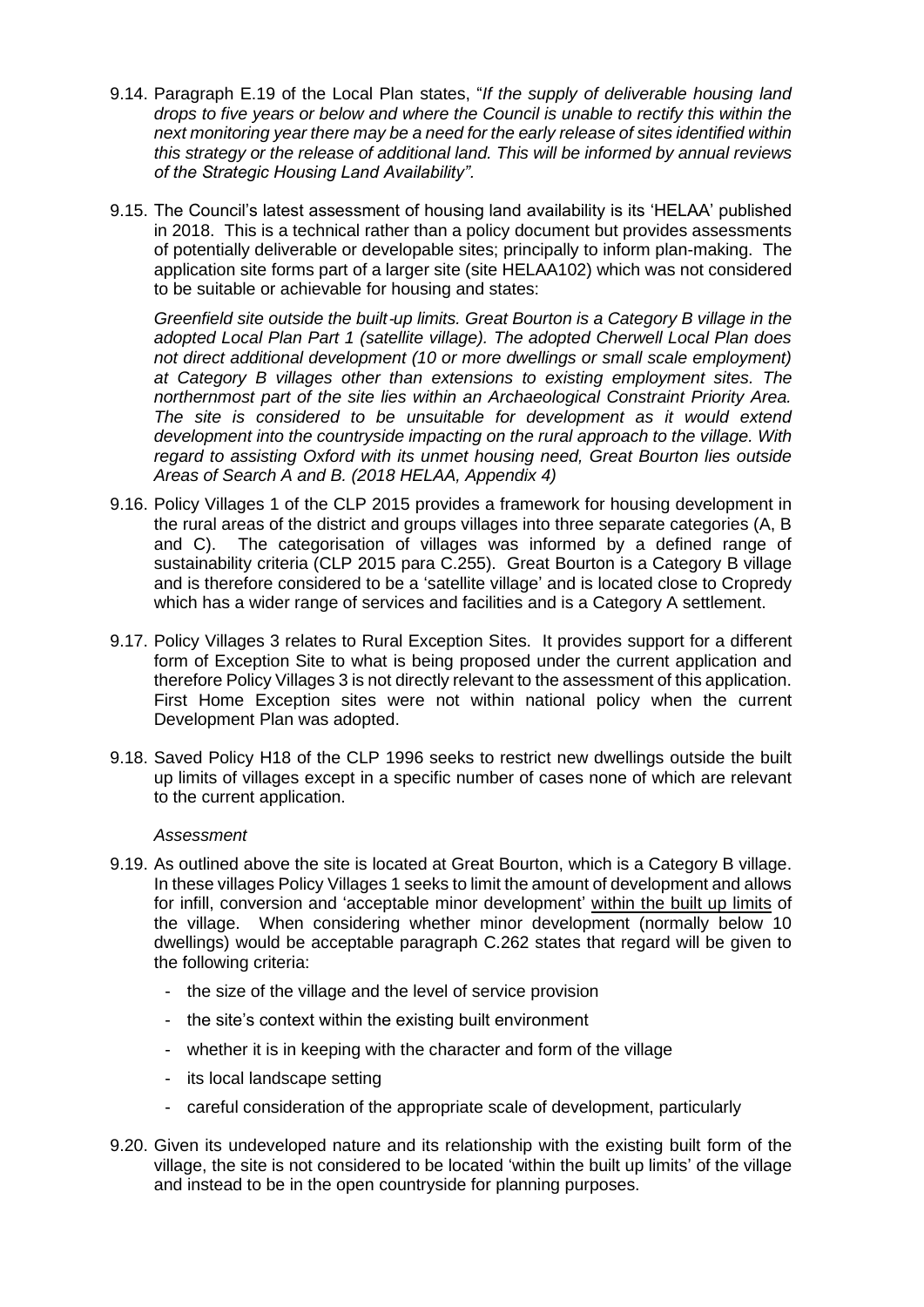- 9.14. Paragraph E.19 of the Local Plan states, "*If the supply of deliverable housing land drops to five years or below and where the Council is unable to rectify this within the next monitoring year there may be a need for the early release of sites identified within this strategy or the release of additional land. This will be informed by annual reviews of the Strategic Housing Land Availability".*
- 9.15. The Council's latest assessment of housing land availability is its 'HELAA' published in 2018. This is a technical rather than a policy document but provides assessments of potentially deliverable or developable sites; principally to inform plan-making. The application site forms part of a larger site (site HELAA102) which was not considered to be suitable or achievable for housing and states:

*Greenfield site outside the built*‐*up limits. Great Bourton is a Category B village in the adopted Local Plan Part 1 (satellite village). The adopted Cherwell Local Plan does not direct additional development (10 or more dwellings or small scale employment) at Category B villages other than extensions to existing employment sites. The northernmost part of the site lies within an Archaeological Constraint Priority Area. The site is considered to be unsuitable for development as it would extend development into the countryside impacting on the rural approach to the village. With regard to assisting Oxford with its unmet housing need, Great Bourton lies outside Areas of Search A and B. (2018 HELAA, Appendix 4)*

- 9.16. Policy Villages 1 of the CLP 2015 provides a framework for housing development in the rural areas of the district and groups villages into three separate categories (A, B and C). The categorisation of villages was informed by a defined range of sustainability criteria (CLP 2015 para C.255). Great Bourton is a Category B village and is therefore considered to be a 'satellite village' and is located close to Cropredy which has a wider range of services and facilities and is a Category A settlement.
- 9.17. Policy Villages 3 relates to Rural Exception Sites. It provides support for a different form of Exception Site to what is being proposed under the current application and therefore Policy Villages 3 is not directly relevant to the assessment of this application. First Home Exception sites were not within national policy when the current Development Plan was adopted.
- 9.18. Saved Policy H18 of the CLP 1996 seeks to restrict new dwellings outside the built up limits of villages except in a specific number of cases none of which are relevant to the current application.

### *Assessment*

- 9.19. As outlined above the site is located at Great Bourton, which is a Category B village. In these villages Policy Villages 1 seeks to limit the amount of development and allows for infill, conversion and 'acceptable minor development' within the built up limits of the village. When considering whether minor development (normally below 10 dwellings) would be acceptable paragraph C.262 states that regard will be given to the following criteria:
	- the size of the village and the level of service provision
	- the site's context within the existing built environment
	- whether it is in keeping with the character and form of the village
	- its local landscape setting
	- careful consideration of the appropriate scale of development, particularly
- 9.20. Given its undeveloped nature and its relationship with the existing built form of the village, the site is not considered to be located 'within the built up limits' of the village and instead to be in the open countryside for planning purposes.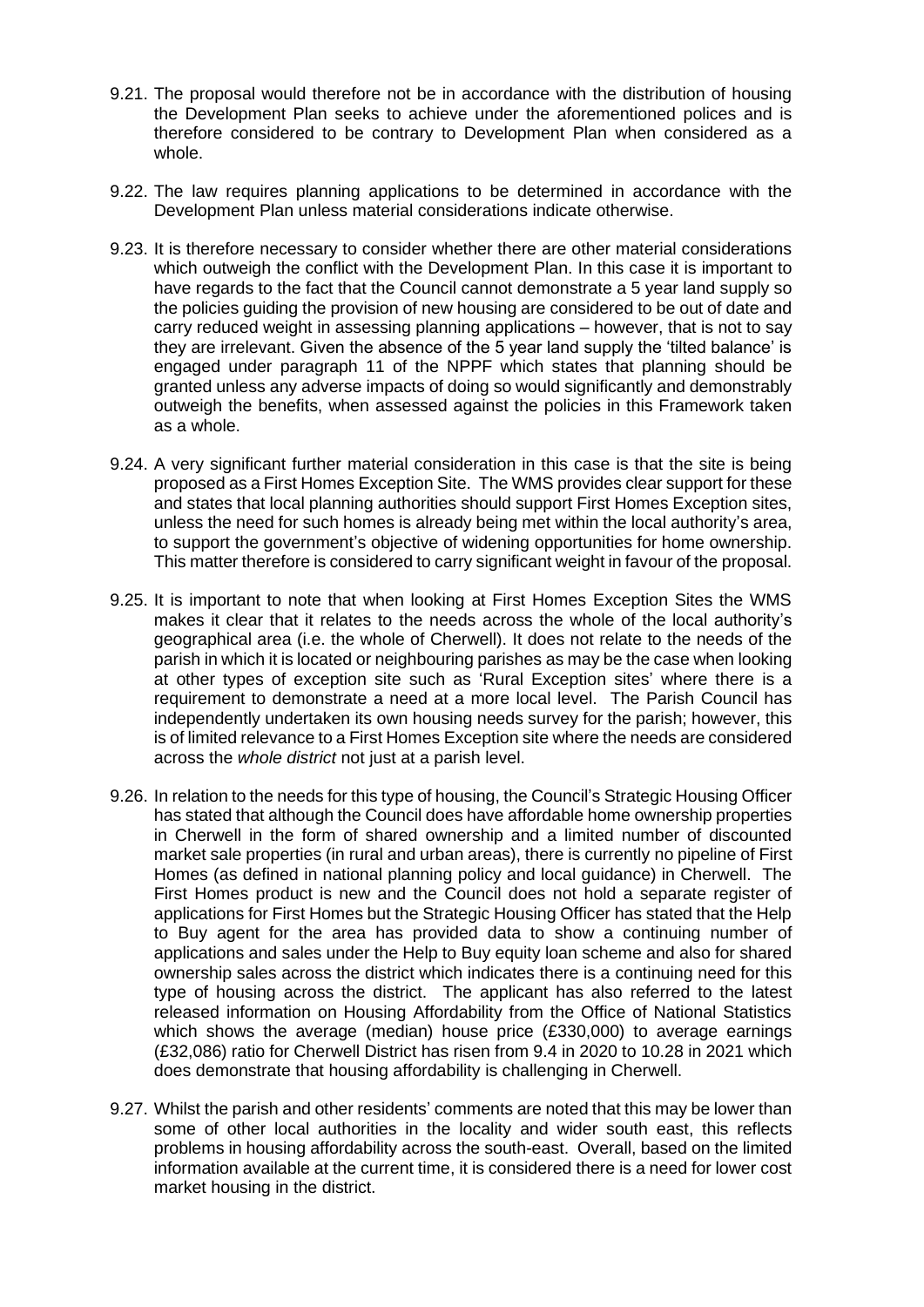- 9.21. The proposal would therefore not be in accordance with the distribution of housing the Development Plan seeks to achieve under the aforementioned polices and is therefore considered to be contrary to Development Plan when considered as a whole.
- 9.22. The law requires planning applications to be determined in accordance with the Development Plan unless material considerations indicate otherwise.
- 9.23. It is therefore necessary to consider whether there are other material considerations which outweigh the conflict with the Development Plan. In this case it is important to have regards to the fact that the Council cannot demonstrate a 5 year land supply so the policies guiding the provision of new housing are considered to be out of date and carry reduced weight in assessing planning applications – however, that is not to say they are irrelevant. Given the absence of the 5 year land supply the 'tilted balance' is engaged under paragraph 11 of the NPPF which states that planning should be granted unless any adverse impacts of doing so would significantly and demonstrably outweigh the benefits, when assessed against the policies in this Framework taken as a whole.
- 9.24. A very significant further material consideration in this case is that the site is being proposed as a First Homes Exception Site. The WMS provides clear support for these and states that local planning authorities should support First Homes Exception sites, unless the need for such homes is already being met within the local authority's area, to support the government's objective of widening opportunities for home ownership. This matter therefore is considered to carry significant weight in favour of the proposal.
- 9.25. It is important to note that when looking at First Homes Exception Sites the WMS makes it clear that it relates to the needs across the whole of the local authority's geographical area (i.e. the whole of Cherwell). It does not relate to the needs of the parish in which it is located or neighbouring parishes as may be the case when looking at other types of exception site such as 'Rural Exception sites' where there is a requirement to demonstrate a need at a more local level. The Parish Council has independently undertaken its own housing needs survey for the parish; however, this is of limited relevance to a First Homes Exception site where the needs are considered across the *whole district* not just at a parish level.
- 9.26. In relation to the needs for this type of housing, the Council's Strategic Housing Officer has stated that although the Council does have affordable home ownership properties in Cherwell in the form of shared ownership and a limited number of discounted market sale properties (in rural and urban areas), there is currently no pipeline of First Homes (as defined in national planning policy and local guidance) in Cherwell. The First Homes product is new and the Council does not hold a separate register of applications for First Homes but the Strategic Housing Officer has stated that the Help to Buy agent for the area has provided data to show a continuing number of applications and sales under the Help to Buy equity loan scheme and also for shared ownership sales across the district which indicates there is a continuing need for this type of housing across the district. The applicant has also referred to the latest released information on Housing Affordability from the Office of National Statistics which shows the average (median) house price (£330,000) to average earnings (£32,086) ratio for Cherwell District has risen from 9.4 in 2020 to 10.28 in 2021 which does demonstrate that housing affordability is challenging in Cherwell.
- 9.27. Whilst the parish and other residents' comments are noted that this may be lower than some of other local authorities in the locality and wider south east, this reflects problems in housing affordability across the south-east. Overall, based on the limited information available at the current time, it is considered there is a need for lower cost market housing in the district.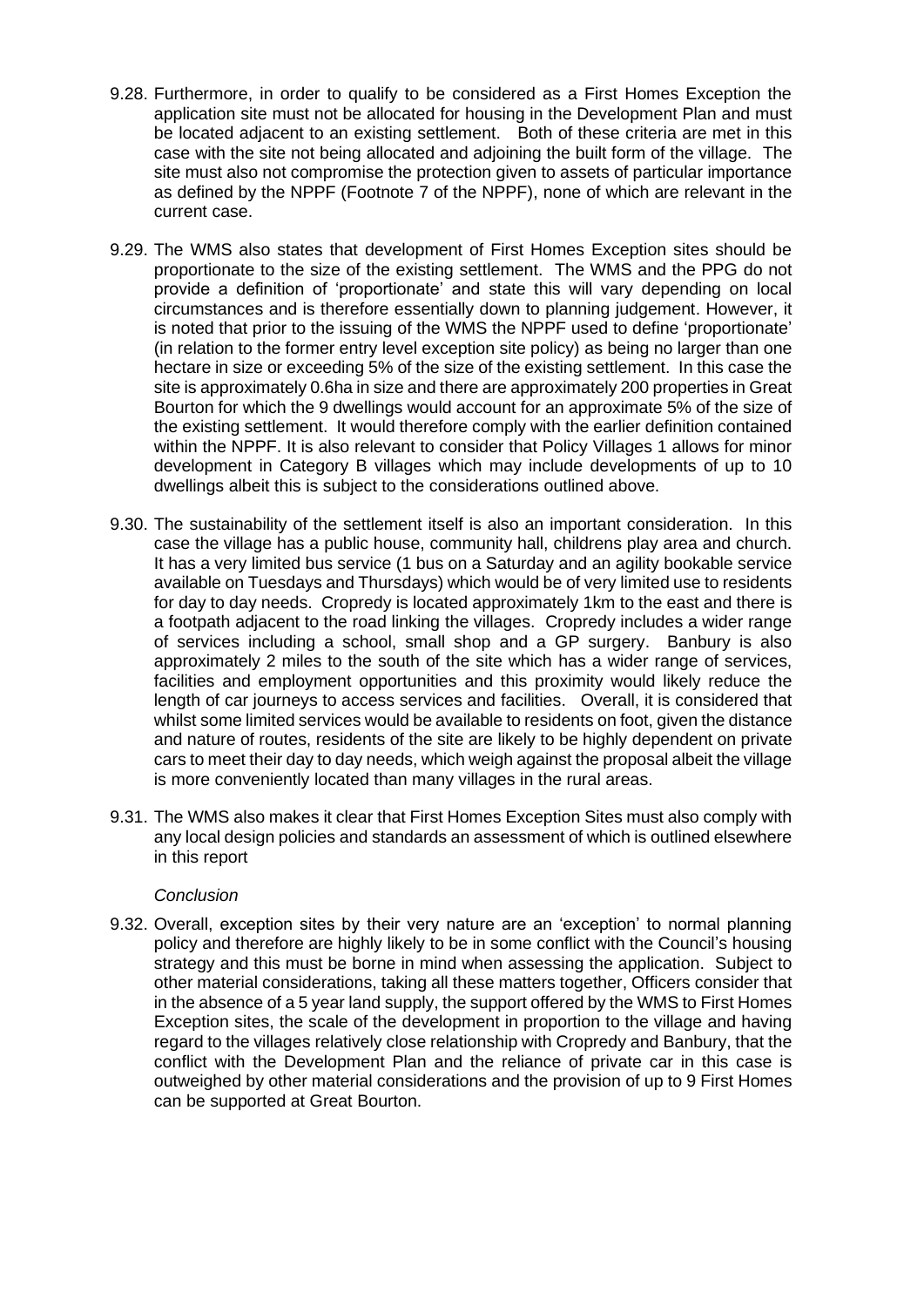- 9.28. Furthermore, in order to qualify to be considered as a First Homes Exception the application site must not be allocated for housing in the Development Plan and must be located adjacent to an existing settlement. Both of these criteria are met in this case with the site not being allocated and adjoining the built form of the village. The site must also not compromise the protection given to assets of particular importance as defined by the NPPF (Footnote 7 of the NPPF), none of which are relevant in the current case.
- 9.29. The WMS also states that development of First Homes Exception sites should be proportionate to the size of the existing settlement. The WMS and the PPG do not provide a definition of 'proportionate' and state this will vary depending on local circumstances and is therefore essentially down to planning judgement. However, it is noted that prior to the issuing of the WMS the NPPF used to define 'proportionate' (in relation to the former entry level exception site policy) as being no larger than one hectare in size or exceeding 5% of the size of the existing settlement. In this case the site is approximately 0.6ha in size and there are approximately 200 properties in Great Bourton for which the 9 dwellings would account for an approximate 5% of the size of the existing settlement. It would therefore comply with the earlier definition contained within the NPPF. It is also relevant to consider that Policy Villages 1 allows for minor development in Category B villages which may include developments of up to 10 dwellings albeit this is subject to the considerations outlined above.
- 9.30. The sustainability of the settlement itself is also an important consideration. In this case the village has a public house, community hall, childrens play area and church. It has a very limited bus service (1 bus on a Saturday and an agility bookable service available on Tuesdays and Thursdays) which would be of very limited use to residents for day to day needs. Cropredy is located approximately 1km to the east and there is a footpath adjacent to the road linking the villages. Cropredy includes a wider range of services including a school, small shop and a GP surgery. Banbury is also approximately 2 miles to the south of the site which has a wider range of services, facilities and employment opportunities and this proximity would likely reduce the length of car journeys to access services and facilities. Overall, it is considered that whilst some limited services would be available to residents on foot, given the distance and nature of routes, residents of the site are likely to be highly dependent on private cars to meet their day to day needs, which weigh against the proposal albeit the village is more conveniently located than many villages in the rural areas.
- 9.31. The WMS also makes it clear that First Homes Exception Sites must also comply with any local design policies and standards an assessment of which is outlined elsewhere in this report

## *Conclusion*

9.32. Overall, exception sites by their very nature are an 'exception' to normal planning policy and therefore are highly likely to be in some conflict with the Council's housing strategy and this must be borne in mind when assessing the application. Subject to other material considerations, taking all these matters together, Officers consider that in the absence of a 5 year land supply, the support offered by the WMS to First Homes Exception sites, the scale of the development in proportion to the village and having regard to the villages relatively close relationship with Cropredy and Banbury, that the conflict with the Development Plan and the reliance of private car in this case is outweighed by other material considerations and the provision of up to 9 First Homes can be supported at Great Bourton.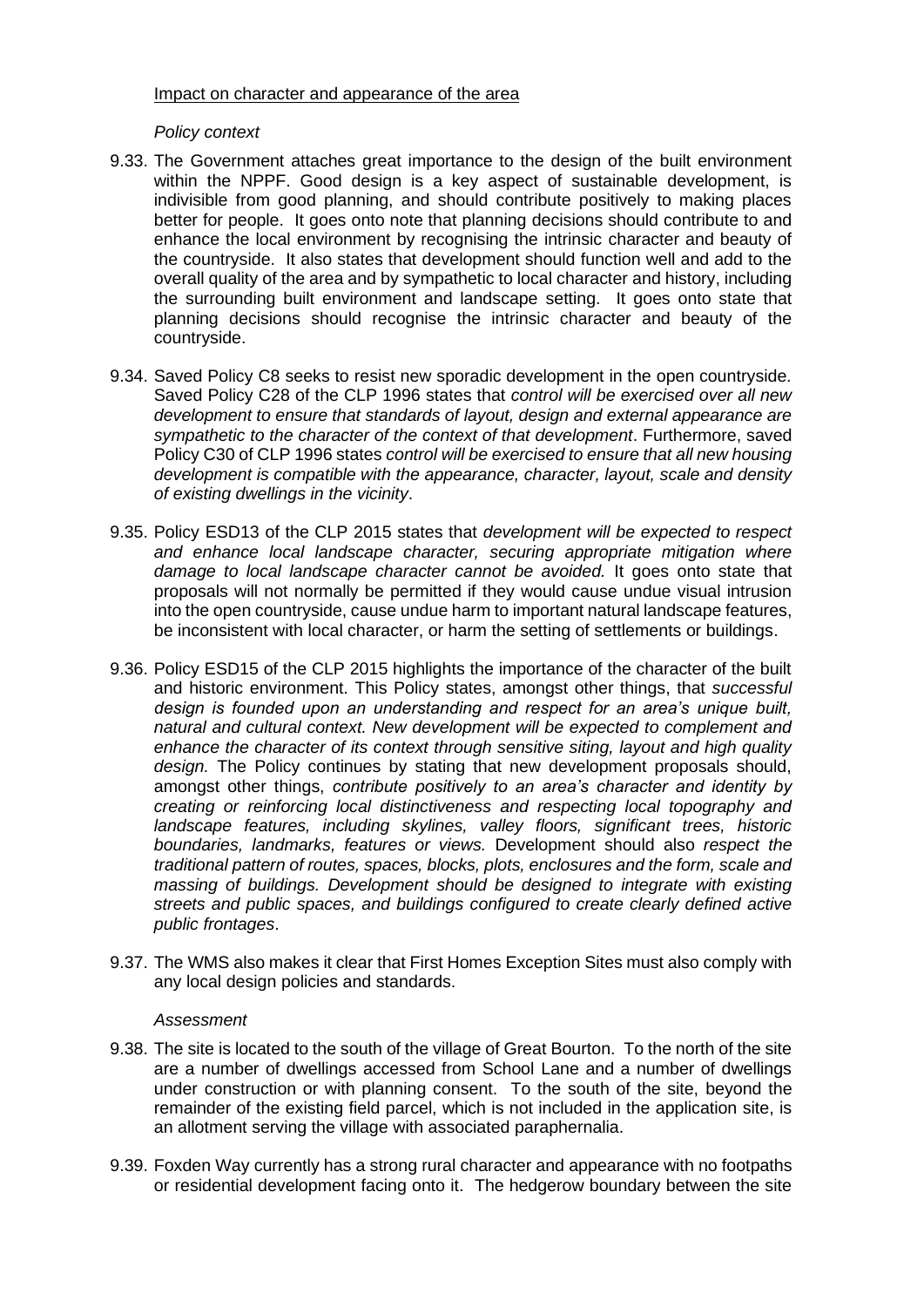## Impact on character and appearance of the area

## *Policy context*

- 9.33. The Government attaches great importance to the design of the built environment within the NPPF. Good design is a key aspect of sustainable development, is indivisible from good planning, and should contribute positively to making places better for people. It goes onto note that planning decisions should contribute to and enhance the local environment by recognising the intrinsic character and beauty of the countryside. It also states that development should function well and add to the overall quality of the area and by sympathetic to local character and history, including the surrounding built environment and landscape setting. It goes onto state that planning decisions should recognise the intrinsic character and beauty of the countryside.
- 9.34. Saved Policy C8 seeks to resist new sporadic development in the open countryside. Saved Policy C28 of the CLP 1996 states that *control will be exercised over all new development to ensure that standards of layout, design and external appearance are sympathetic to the character of the context of that development*. Furthermore, saved Policy C30 of CLP 1996 states *control will be exercised to ensure that all new housing development is compatible with the appearance, character, layout, scale and density of existing dwellings in the vicinity*.
- 9.35. Policy ESD13 of the CLP 2015 states that *development will be expected to respect and enhance local landscape character, securing appropriate mitigation where damage to local landscape character cannot be avoided.* It goes onto state that proposals will not normally be permitted if they would cause undue visual intrusion into the open countryside, cause undue harm to important natural landscape features, be inconsistent with local character, or harm the setting of settlements or buildings.
- 9.36. Policy ESD15 of the CLP 2015 highlights the importance of the character of the built and historic environment. This Policy states, amongst other things, that *successful design is founded upon an understanding and respect for an area's unique built, natural and cultural context. New development will be expected to complement and enhance the character of its context through sensitive siting, layout and high quality design.* The Policy continues by stating that new development proposals should, amongst other things, *contribute positively to an area's character and identity by creating or reinforcing local distinctiveness and respecting local topography and landscape features, including skylines, valley floors, significant trees, historic boundaries, landmarks, features or views.* Development should also *respect the traditional pattern of routes, spaces, blocks, plots, enclosures and the form, scale and massing of buildings. Development should be designed to integrate with existing streets and public spaces, and buildings configured to create clearly defined active public frontages*.
- 9.37. The WMS also makes it clear that First Homes Exception Sites must also comply with any local design policies and standards.

### *Assessment*

- 9.38. The site is located to the south of the village of Great Bourton. To the north of the site are a number of dwellings accessed from School Lane and a number of dwellings under construction or with planning consent. To the south of the site, beyond the remainder of the existing field parcel, which is not included in the application site, is an allotment serving the village with associated paraphernalia.
- 9.39. Foxden Way currently has a strong rural character and appearance with no footpaths or residential development facing onto it. The hedgerow boundary between the site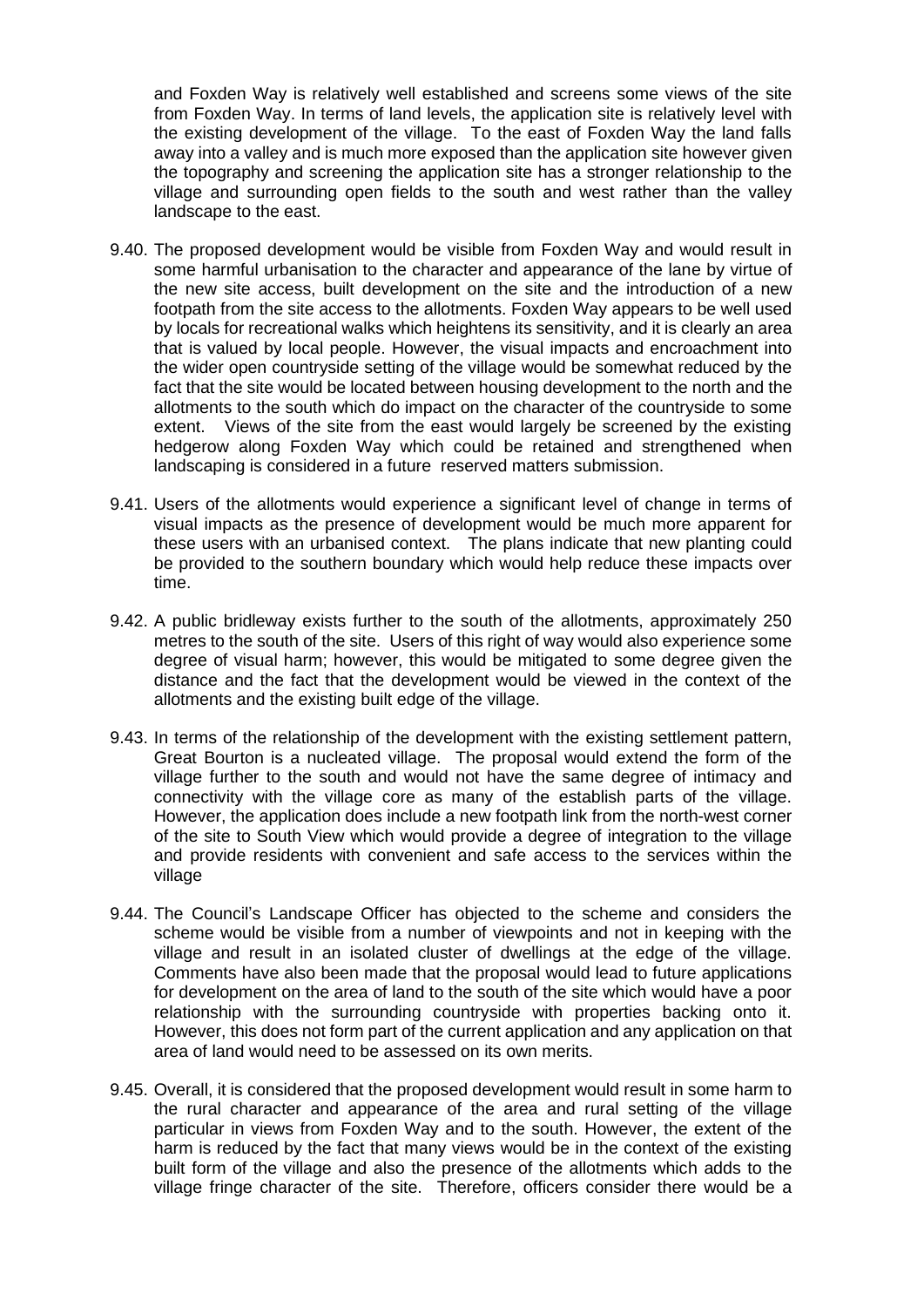and Foxden Way is relatively well established and screens some views of the site from Foxden Way. In terms of land levels, the application site is relatively level with the existing development of the village. To the east of Foxden Way the land falls away into a valley and is much more exposed than the application site however given the topography and screening the application site has a stronger relationship to the village and surrounding open fields to the south and west rather than the valley landscape to the east.

- 9.40. The proposed development would be visible from Foxden Way and would result in some harmful urbanisation to the character and appearance of the lane by virtue of the new site access, built development on the site and the introduction of a new footpath from the site access to the allotments. Foxden Way appears to be well used by locals for recreational walks which heightens its sensitivity, and it is clearly an area that is valued by local people. However, the visual impacts and encroachment into the wider open countryside setting of the village would be somewhat reduced by the fact that the site would be located between housing development to the north and the allotments to the south which do impact on the character of the countryside to some extent. Views of the site from the east would largely be screened by the existing hedgerow along Foxden Way which could be retained and strengthened when landscaping is considered in a future reserved matters submission.
- 9.41. Users of the allotments would experience a significant level of change in terms of visual impacts as the presence of development would be much more apparent for these users with an urbanised context. The plans indicate that new planting could be provided to the southern boundary which would help reduce these impacts over time.
- 9.42. A public bridleway exists further to the south of the allotments, approximately 250 metres to the south of the site. Users of this right of way would also experience some degree of visual harm; however, this would be mitigated to some degree given the distance and the fact that the development would be viewed in the context of the allotments and the existing built edge of the village.
- 9.43. In terms of the relationship of the development with the existing settlement pattern, Great Bourton is a nucleated village. The proposal would extend the form of the village further to the south and would not have the same degree of intimacy and connectivity with the village core as many of the establish parts of the village. However, the application does include a new footpath link from the north-west corner of the site to South View which would provide a degree of integration to the village and provide residents with convenient and safe access to the services within the village
- 9.44. The Council's Landscape Officer has objected to the scheme and considers the scheme would be visible from a number of viewpoints and not in keeping with the village and result in an isolated cluster of dwellings at the edge of the village. Comments have also been made that the proposal would lead to future applications for development on the area of land to the south of the site which would have a poor relationship with the surrounding countryside with properties backing onto it. However, this does not form part of the current application and any application on that area of land would need to be assessed on its own merits.
- 9.45. Overall, it is considered that the proposed development would result in some harm to the rural character and appearance of the area and rural setting of the village particular in views from Foxden Way and to the south. However, the extent of the harm is reduced by the fact that many views would be in the context of the existing built form of the village and also the presence of the allotments which adds to the village fringe character of the site. Therefore, officers consider there would be a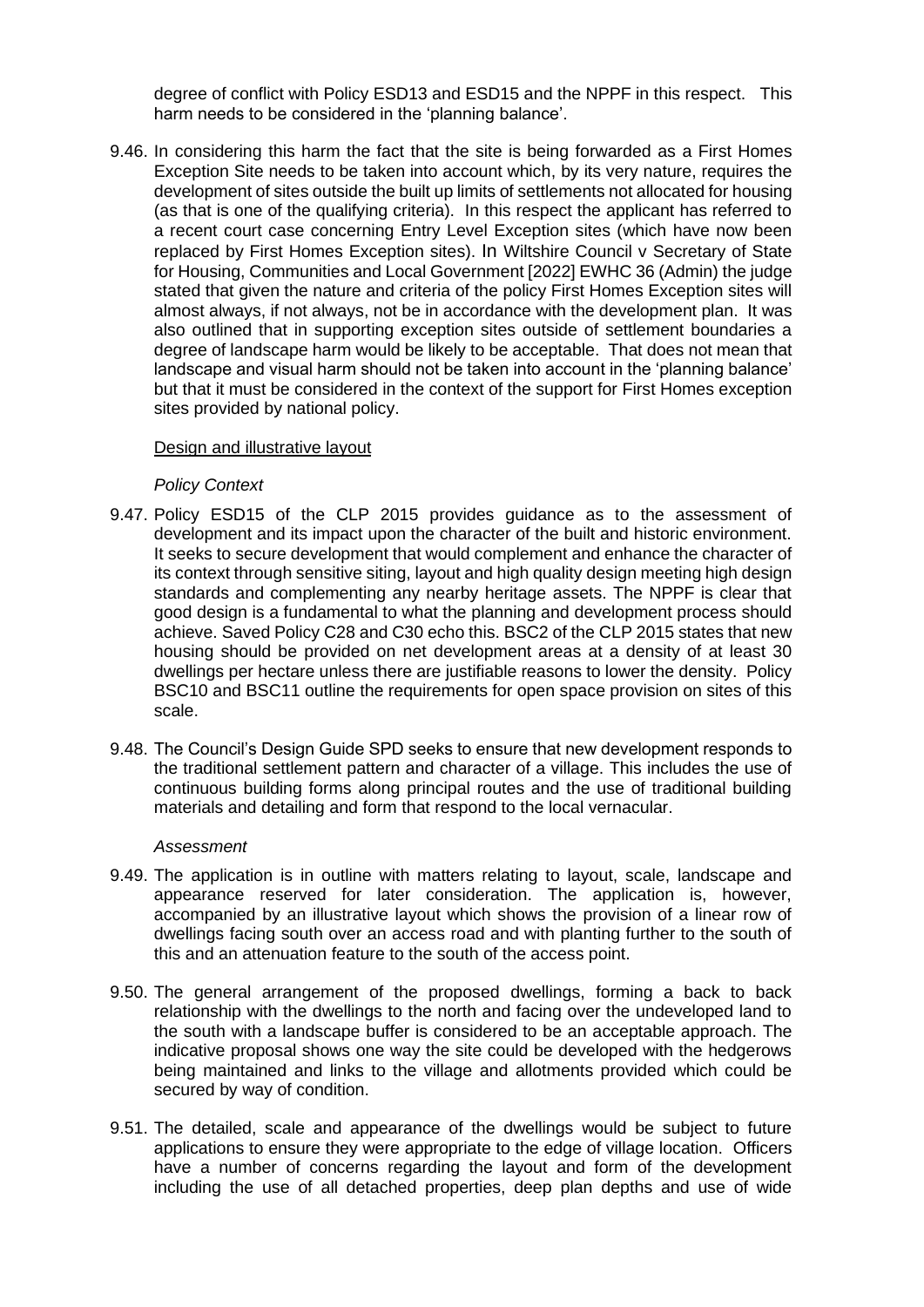degree of conflict with Policy ESD13 and ESD15 and the NPPF in this respect. This harm needs to be considered in the 'planning balance'.

9.46. In considering this harm the fact that the site is being forwarded as a First Homes Exception Site needs to be taken into account which, by its very nature, requires the development of sites outside the built up limits of settlements not allocated for housing (as that is one of the qualifying criteria). In this respect the applicant has referred to a recent court case concerning Entry Level Exception sites (which have now been replaced by First Homes Exception sites). In Wiltshire Council v Secretary of State for Housing, Communities and Local Government [2022] EWHC 36 (Admin) the judge stated that given the nature and criteria of the policy First Homes Exception sites will almost always, if not always, not be in accordance with the development plan. It was also outlined that in supporting exception sites outside of settlement boundaries a degree of landscape harm would be likely to be acceptable. That does not mean that landscape and visual harm should not be taken into account in the 'planning balance' but that it must be considered in the context of the support for First Homes exception sites provided by national policy.

### Design and illustrative layout

### *Policy Context*

- 9.47. Policy ESD15 of the CLP 2015 provides guidance as to the assessment of development and its impact upon the character of the built and historic environment. It seeks to secure development that would complement and enhance the character of its context through sensitive siting, layout and high quality design meeting high design standards and complementing any nearby heritage assets. The NPPF is clear that good design is a fundamental to what the planning and development process should achieve. Saved Policy C28 and C30 echo this. BSC2 of the CLP 2015 states that new housing should be provided on net development areas at a density of at least 30 dwellings per hectare unless there are justifiable reasons to lower the density. Policy BSC10 and BSC11 outline the requirements for open space provision on sites of this scale.
- 9.48. The Council's Design Guide SPD seeks to ensure that new development responds to the traditional settlement pattern and character of a village. This includes the use of continuous building forms along principal routes and the use of traditional building materials and detailing and form that respond to the local vernacular.

### *Assessment*

- 9.49. The application is in outline with matters relating to layout, scale, landscape and appearance reserved for later consideration. The application is, however, accompanied by an illustrative layout which shows the provision of a linear row of dwellings facing south over an access road and with planting further to the south of this and an attenuation feature to the south of the access point.
- 9.50. The general arrangement of the proposed dwellings, forming a back to back relationship with the dwellings to the north and facing over the undeveloped land to the south with a landscape buffer is considered to be an acceptable approach. The indicative proposal shows one way the site could be developed with the hedgerows being maintained and links to the village and allotments provided which could be secured by way of condition.
- 9.51. The detailed, scale and appearance of the dwellings would be subject to future applications to ensure they were appropriate to the edge of village location. Officers have a number of concerns regarding the layout and form of the development including the use of all detached properties, deep plan depths and use of wide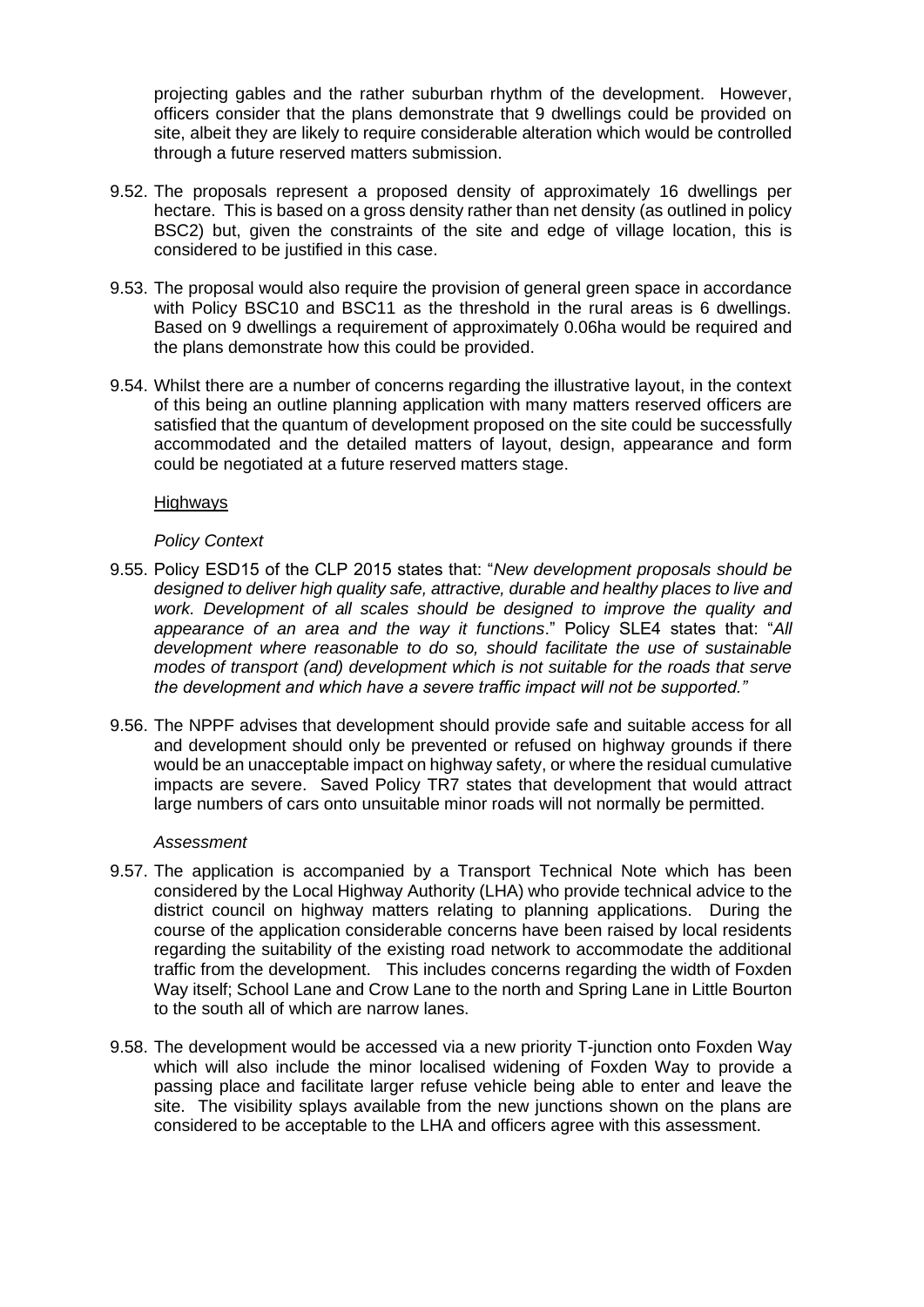projecting gables and the rather suburban rhythm of the development. However, officers consider that the plans demonstrate that 9 dwellings could be provided on site, albeit they are likely to require considerable alteration which would be controlled through a future reserved matters submission.

- 9.52. The proposals represent a proposed density of approximately 16 dwellings per hectare. This is based on a gross density rather than net density (as outlined in policy BSC2) but, given the constraints of the site and edge of village location, this is considered to be justified in this case.
- 9.53. The proposal would also require the provision of general green space in accordance with Policy BSC10 and BSC11 as the threshold in the rural areas is 6 dwellings. Based on 9 dwellings a requirement of approximately 0.06ha would be required and the plans demonstrate how this could be provided.
- 9.54. Whilst there are a number of concerns regarding the illustrative layout, in the context of this being an outline planning application with many matters reserved officers are satisfied that the quantum of development proposed on the site could be successfully accommodated and the detailed matters of layout, design, appearance and form could be negotiated at a future reserved matters stage.

### Highways

### *Policy Context*

- 9.55. Policy ESD15 of the CLP 2015 states that: "*New development proposals should be designed to deliver high quality safe, attractive, durable and healthy places to live and*  work. Development of all scales should be designed to improve the quality and *appearance of an area and the way it functions*." Policy SLE4 states that: "*All development where reasonable to do so, should facilitate the use of sustainable modes of transport (and) development which is not suitable for the roads that serve the development and which have a severe traffic impact will not be supported."*
- 9.56. The NPPF advises that development should provide safe and suitable access for all and development should only be prevented or refused on highway grounds if there would be an unacceptable impact on highway safety, or where the residual cumulative impacts are severe. Saved Policy TR7 states that development that would attract large numbers of cars onto unsuitable minor roads will not normally be permitted.

### *Assessment*

- 9.57. The application is accompanied by a Transport Technical Note which has been considered by the Local Highway Authority (LHA) who provide technical advice to the district council on highway matters relating to planning applications. During the course of the application considerable concerns have been raised by local residents regarding the suitability of the existing road network to accommodate the additional traffic from the development. This includes concerns regarding the width of Foxden Way itself; School Lane and Crow Lane to the north and Spring Lane in Little Bourton to the south all of which are narrow lanes.
- 9.58. The development would be accessed via a new priority T-junction onto Foxden Way which will also include the minor localised widening of Foxden Way to provide a passing place and facilitate larger refuse vehicle being able to enter and leave the site. The visibility splays available from the new junctions shown on the plans are considered to be acceptable to the LHA and officers agree with this assessment.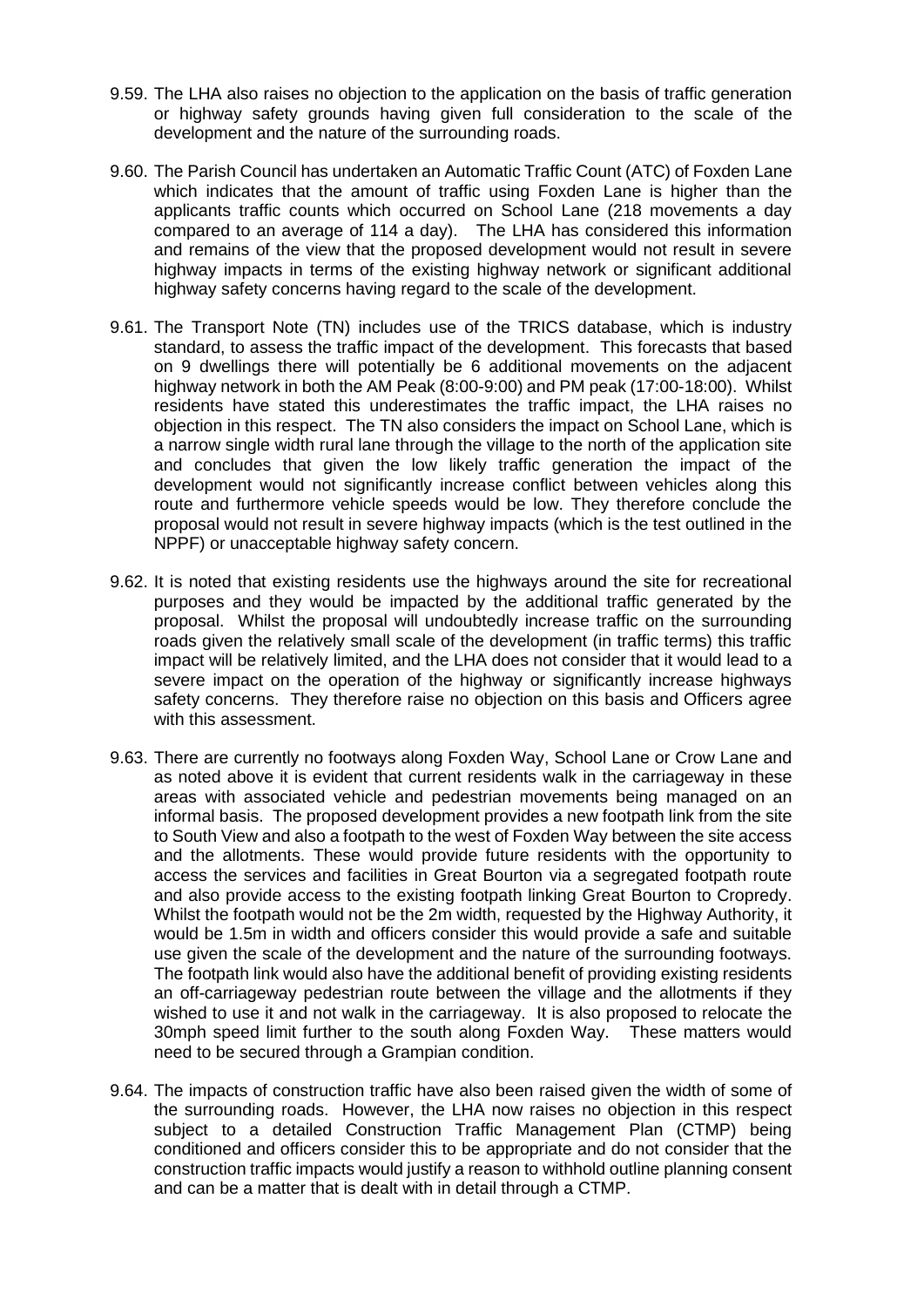- 9.59. The LHA also raises no objection to the application on the basis of traffic generation or highway safety grounds having given full consideration to the scale of the development and the nature of the surrounding roads.
- 9.60. The Parish Council has undertaken an Automatic Traffic Count (ATC) of Foxden Lane which indicates that the amount of traffic using Foxden Lane is higher than the applicants traffic counts which occurred on School Lane (218 movements a day compared to an average of 114 a day). The LHA has considered this information and remains of the view that the proposed development would not result in severe highway impacts in terms of the existing highway network or significant additional highway safety concerns having regard to the scale of the development.
- 9.61. The Transport Note (TN) includes use of the TRICS database, which is industry standard, to assess the traffic impact of the development. This forecasts that based on 9 dwellings there will potentially be 6 additional movements on the adjacent highway network in both the AM Peak (8:00-9:00) and PM peak (17:00-18:00). Whilst residents have stated this underestimates the traffic impact, the LHA raises no objection in this respect. The TN also considers the impact on School Lane, which is a narrow single width rural lane through the village to the north of the application site and concludes that given the low likely traffic generation the impact of the development would not significantly increase conflict between vehicles along this route and furthermore vehicle speeds would be low. They therefore conclude the proposal would not result in severe highway impacts (which is the test outlined in the NPPF) or unacceptable highway safety concern.
- 9.62. It is noted that existing residents use the highways around the site for recreational purposes and they would be impacted by the additional traffic generated by the proposal. Whilst the proposal will undoubtedly increase traffic on the surrounding roads given the relatively small scale of the development (in traffic terms) this traffic impact will be relatively limited, and the LHA does not consider that it would lead to a severe impact on the operation of the highway or significantly increase highways safety concerns. They therefore raise no objection on this basis and Officers agree with this assessment.
- 9.63. There are currently no footways along Foxden Way, School Lane or Crow Lane and as noted above it is evident that current residents walk in the carriageway in these areas with associated vehicle and pedestrian movements being managed on an informal basis. The proposed development provides a new footpath link from the site to South View and also a footpath to the west of Foxden Way between the site access and the allotments. These would provide future residents with the opportunity to access the services and facilities in Great Bourton via a segregated footpath route and also provide access to the existing footpath linking Great Bourton to Cropredy. Whilst the footpath would not be the 2m width, requested by the Highway Authority, it would be 1.5m in width and officers consider this would provide a safe and suitable use given the scale of the development and the nature of the surrounding footways. The footpath link would also have the additional benefit of providing existing residents an off-carriageway pedestrian route between the village and the allotments if they wished to use it and not walk in the carriageway. It is also proposed to relocate the 30mph speed limit further to the south along Foxden Way. These matters would need to be secured through a Grampian condition.
- 9.64. The impacts of construction traffic have also been raised given the width of some of the surrounding roads. However, the LHA now raises no objection in this respect subject to a detailed Construction Traffic Management Plan (CTMP) being conditioned and officers consider this to be appropriate and do not consider that the construction traffic impacts would justify a reason to withhold outline planning consent and can be a matter that is dealt with in detail through a CTMP.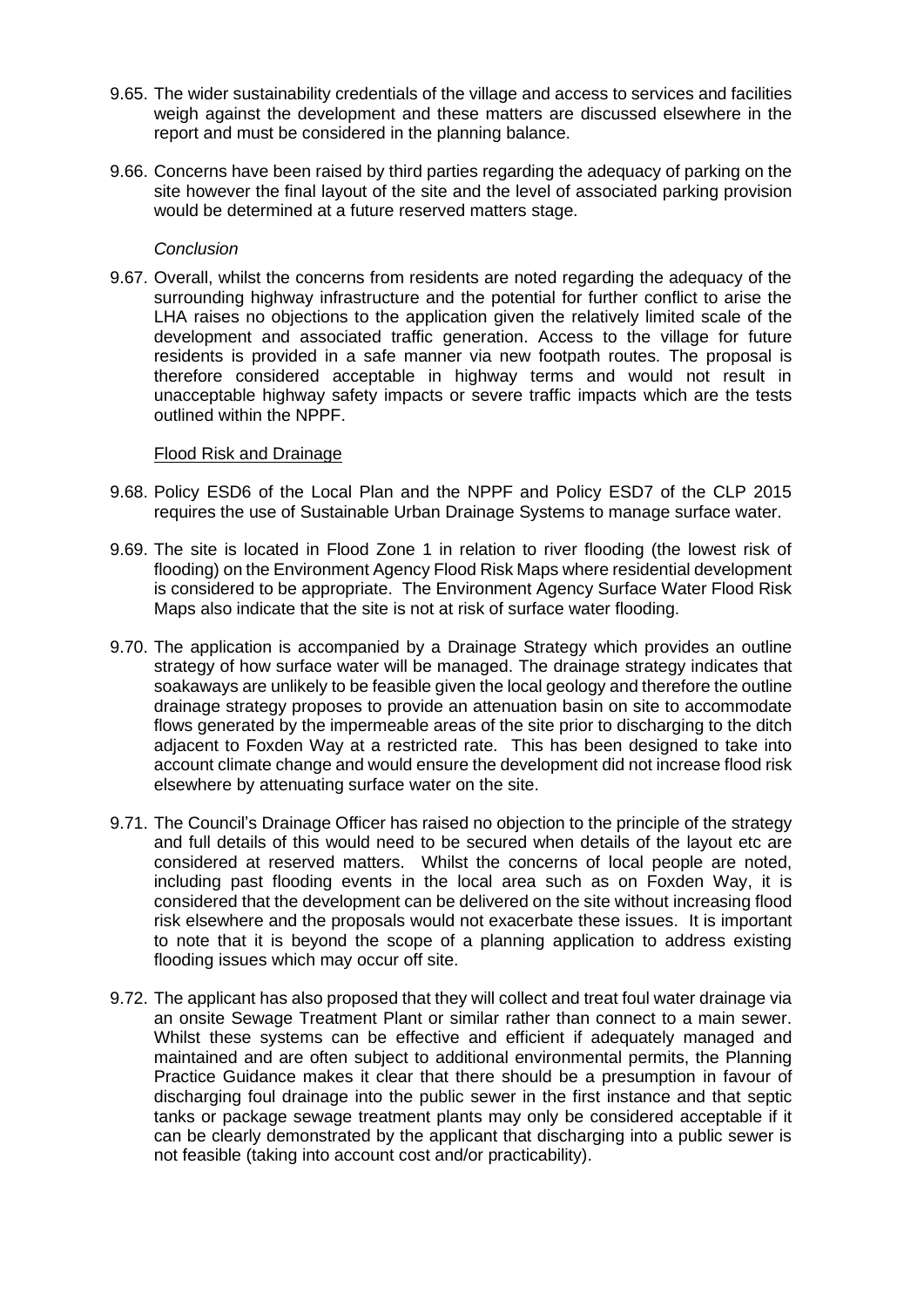- 9.65. The wider sustainability credentials of the village and access to services and facilities weigh against the development and these matters are discussed elsewhere in the report and must be considered in the planning balance.
- 9.66. Concerns have been raised by third parties regarding the adequacy of parking on the site however the final layout of the site and the level of associated parking provision would be determined at a future reserved matters stage.

### *Conclusion*

9.67. Overall, whilst the concerns from residents are noted regarding the adequacy of the surrounding highway infrastructure and the potential for further conflict to arise the LHA raises no objections to the application given the relatively limited scale of the development and associated traffic generation. Access to the village for future residents is provided in a safe manner via new footpath routes. The proposal is therefore considered acceptable in highway terms and would not result in unacceptable highway safety impacts or severe traffic impacts which are the tests outlined within the NPPF.

### Flood Risk and Drainage

- 9.68. Policy ESD6 of the Local Plan and the NPPF and Policy ESD7 of the CLP 2015 requires the use of Sustainable Urban Drainage Systems to manage surface water.
- 9.69. The site is located in Flood Zone 1 in relation to river flooding (the lowest risk of flooding) on the Environment Agency Flood Risk Maps where residential development is considered to be appropriate. The Environment Agency Surface Water Flood Risk Maps also indicate that the site is not at risk of surface water flooding.
- 9.70. The application is accompanied by a Drainage Strategy which provides an outline strategy of how surface water will be managed. The drainage strategy indicates that soakaways are unlikely to be feasible given the local geology and therefore the outline drainage strategy proposes to provide an attenuation basin on site to accommodate flows generated by the impermeable areas of the site prior to discharging to the ditch adjacent to Foxden Way at a restricted rate. This has been designed to take into account climate change and would ensure the development did not increase flood risk elsewhere by attenuating surface water on the site.
- 9.71. The Council's Drainage Officer has raised no objection to the principle of the strategy and full details of this would need to be secured when details of the layout etc are considered at reserved matters. Whilst the concerns of local people are noted, including past flooding events in the local area such as on Foxden Way, it is considered that the development can be delivered on the site without increasing flood risk elsewhere and the proposals would not exacerbate these issues. It is important to note that it is beyond the scope of a planning application to address existing flooding issues which may occur off site.
- 9.72. The applicant has also proposed that they will collect and treat foul water drainage via an onsite Sewage Treatment Plant or similar rather than connect to a main sewer. Whilst these systems can be effective and efficient if adequately managed and maintained and are often subject to additional environmental permits, the Planning Practice Guidance makes it clear that there should be a presumption in favour of discharging foul drainage into the public sewer in the first instance and that septic tanks or package sewage treatment plants may only be considered acceptable if it can be clearly demonstrated by the applicant that discharging into a public sewer is not feasible (taking into account cost and/or practicability).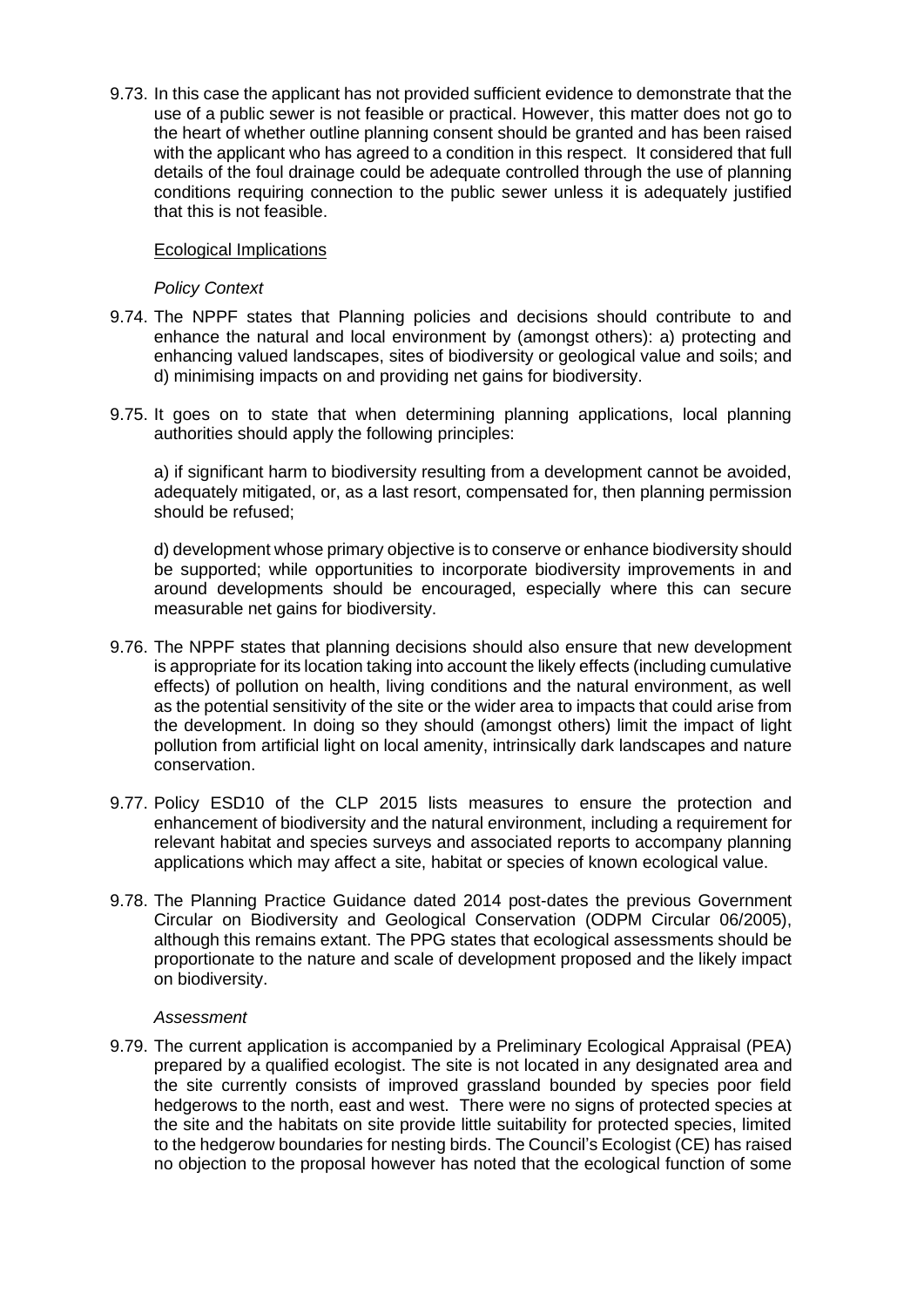9.73. In this case the applicant has not provided sufficient evidence to demonstrate that the use of a public sewer is not feasible or practical. However, this matter does not go to the heart of whether outline planning consent should be granted and has been raised with the applicant who has agreed to a condition in this respect. It considered that full details of the foul drainage could be adequate controlled through the use of planning conditions requiring connection to the public sewer unless it is adequately justified that this is not feasible.

### Ecological Implications

### *Policy Context*

- 9.74. The NPPF states that Planning policies and decisions should contribute to and enhance the natural and local environment by (amongst others): a) protecting and enhancing valued landscapes, sites of biodiversity or geological value and soils; and d) minimising impacts on and providing net gains for biodiversity.
- 9.75. It goes on to state that when determining planning applications, local planning authorities should apply the following principles:

a) if significant harm to biodiversity resulting from a development cannot be avoided, adequately mitigated, or, as a last resort, compensated for, then planning permission should be refused;

d) development whose primary objective is to conserve or enhance biodiversity should be supported; while opportunities to incorporate biodiversity improvements in and around developments should be encouraged, especially where this can secure measurable net gains for biodiversity.

- 9.76. The NPPF states that planning decisions should also ensure that new development is appropriate for its location taking into account the likely effects (including cumulative effects) of pollution on health, living conditions and the natural environment, as well as the potential sensitivity of the site or the wider area to impacts that could arise from the development. In doing so they should (amongst others) limit the impact of light pollution from artificial light on local amenity, intrinsically dark landscapes and nature conservation.
- 9.77. Policy ESD10 of the CLP 2015 lists measures to ensure the protection and enhancement of biodiversity and the natural environment, including a requirement for relevant habitat and species surveys and associated reports to accompany planning applications which may affect a site, habitat or species of known ecological value.
- 9.78. The Planning Practice Guidance dated 2014 post-dates the previous Government Circular on Biodiversity and Geological Conservation (ODPM Circular 06/2005), although this remains extant. The PPG states that ecological assessments should be proportionate to the nature and scale of development proposed and the likely impact on biodiversity.

### *Assessment*

9.79. The current application is accompanied by a Preliminary Ecological Appraisal (PEA) prepared by a qualified ecologist. The site is not located in any designated area and the site currently consists of improved grassland bounded by species poor field hedgerows to the north, east and west. There were no signs of protected species at the site and the habitats on site provide little suitability for protected species, limited to the hedgerow boundaries for nesting birds. The Council's Ecologist (CE) has raised no objection to the proposal however has noted that the ecological function of some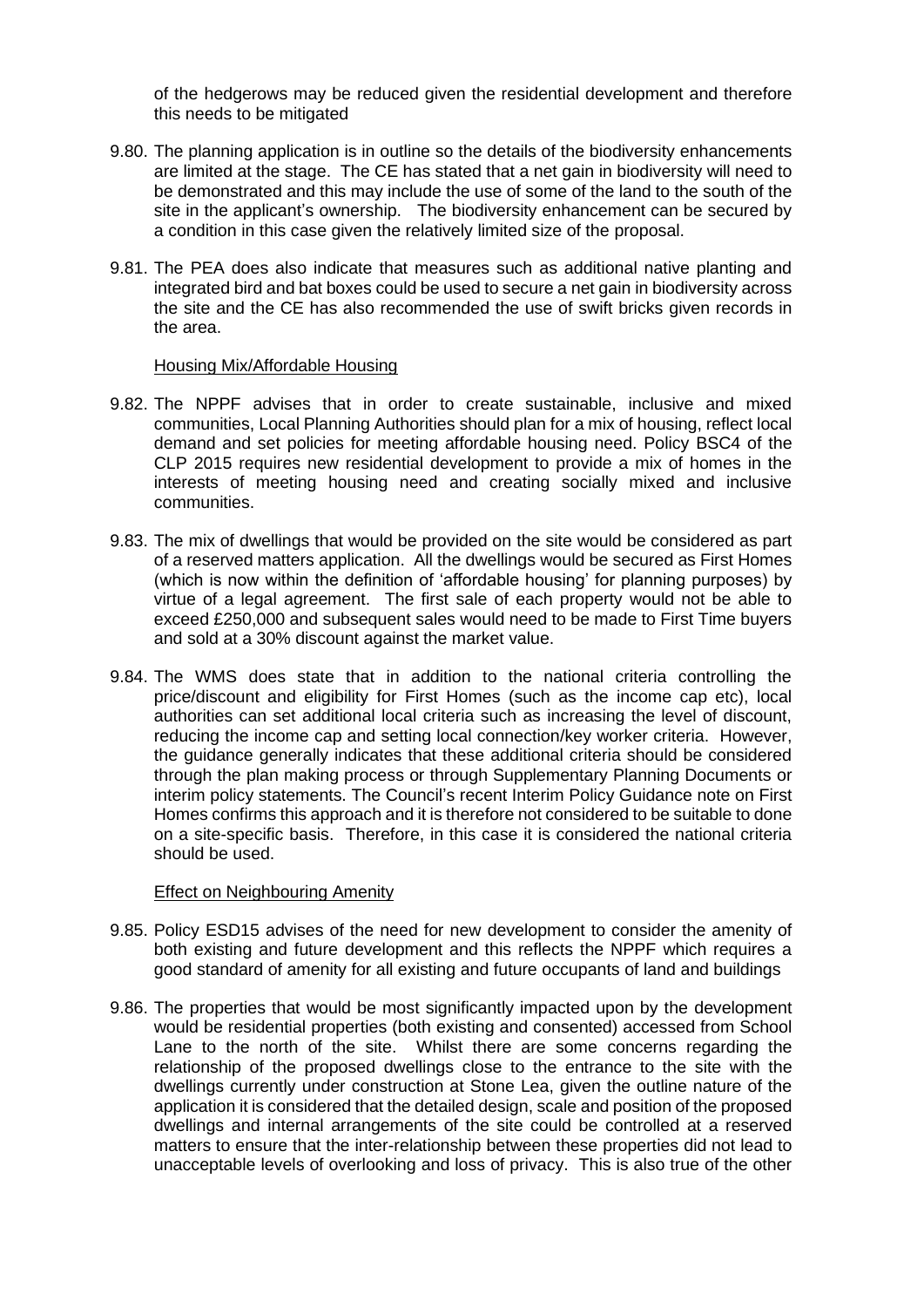of the hedgerows may be reduced given the residential development and therefore this needs to be mitigated

- 9.80. The planning application is in outline so the details of the biodiversity enhancements are limited at the stage. The CE has stated that a net gain in biodiversity will need to be demonstrated and this may include the use of some of the land to the south of the site in the applicant's ownership. The biodiversity enhancement can be secured by a condition in this case given the relatively limited size of the proposal.
- 9.81. The PEA does also indicate that measures such as additional native planting and integrated bird and bat boxes could be used to secure a net gain in biodiversity across the site and the CE has also recommended the use of swift bricks given records in the area.

### Housing Mix/Affordable Housing

- 9.82. The NPPF advises that in order to create sustainable, inclusive and mixed communities, Local Planning Authorities should plan for a mix of housing, reflect local demand and set policies for meeting affordable housing need. Policy BSC4 of the CLP 2015 requires new residential development to provide a mix of homes in the interests of meeting housing need and creating socially mixed and inclusive communities.
- 9.83. The mix of dwellings that would be provided on the site would be considered as part of a reserved matters application. All the dwellings would be secured as First Homes (which is now within the definition of 'affordable housing' for planning purposes) by virtue of a legal agreement. The first sale of each property would not be able to exceed £250,000 and subsequent sales would need to be made to First Time buyers and sold at a 30% discount against the market value.
- 9.84. The WMS does state that in addition to the national criteria controlling the price/discount and eligibility for First Homes (such as the income cap etc), local authorities can set additional local criteria such as increasing the level of discount, reducing the income cap and setting local connection/key worker criteria. However, the guidance generally indicates that these additional criteria should be considered through the plan making process or through Supplementary Planning Documents or interim policy statements. The Council's recent Interim Policy Guidance note on First Homes confirms this approach and it is therefore not considered to be suitable to done on a site-specific basis. Therefore, in this case it is considered the national criteria should be used.

## Effect on Neighbouring Amenity

- 9.85. Policy ESD15 advises of the need for new development to consider the amenity of both existing and future development and this reflects the NPPF which requires a good standard of amenity for all existing and future occupants of land and buildings
- 9.86. The properties that would be most significantly impacted upon by the development would be residential properties (both existing and consented) accessed from School Lane to the north of the site. Whilst there are some concerns regarding the relationship of the proposed dwellings close to the entrance to the site with the dwellings currently under construction at Stone Lea, given the outline nature of the application it is considered that the detailed design, scale and position of the proposed dwellings and internal arrangements of the site could be controlled at a reserved matters to ensure that the inter-relationship between these properties did not lead to unacceptable levels of overlooking and loss of privacy. This is also true of the other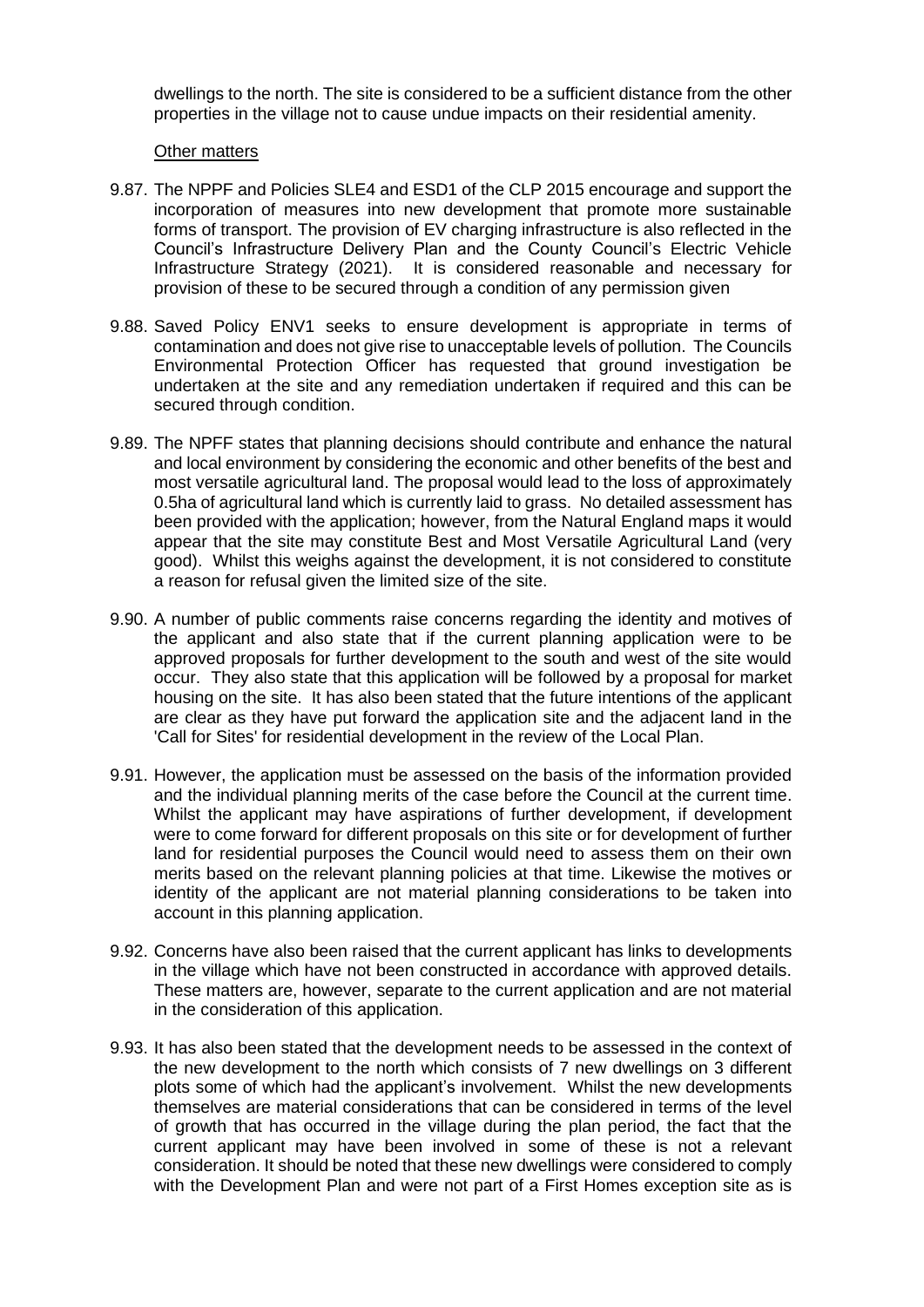dwellings to the north. The site is considered to be a sufficient distance from the other properties in the village not to cause undue impacts on their residential amenity.

### Other matters

- 9.87. The NPPF and Policies SLE4 and ESD1 of the CLP 2015 encourage and support the incorporation of measures into new development that promote more sustainable forms of transport. The provision of EV charging infrastructure is also reflected in the Council's Infrastructure Delivery Plan and the County Council's Electric Vehicle Infrastructure Strategy (2021). It is considered reasonable and necessary for provision of these to be secured through a condition of any permission given
- 9.88. Saved Policy ENV1 seeks to ensure development is appropriate in terms of contamination and does not give rise to unacceptable levels of pollution. The Councils Environmental Protection Officer has requested that ground investigation be undertaken at the site and any remediation undertaken if required and this can be secured through condition.
- 9.89. The NPFF states that planning decisions should contribute and enhance the natural and local environment by considering the economic and other benefits of the best and most versatile agricultural land. The proposal would lead to the loss of approximately 0.5ha of agricultural land which is currently laid to grass. No detailed assessment has been provided with the application; however, from the Natural England maps it would appear that the site may constitute Best and Most Versatile Agricultural Land (very good). Whilst this weighs against the development, it is not considered to constitute a reason for refusal given the limited size of the site.
- 9.90. A number of public comments raise concerns regarding the identity and motives of the applicant and also state that if the current planning application were to be approved proposals for further development to the south and west of the site would occur. They also state that this application will be followed by a proposal for market housing on the site. It has also been stated that the future intentions of the applicant are clear as they have put forward the application site and the adjacent land in the 'Call for Sites' for residential development in the review of the Local Plan.
- 9.91. However, the application must be assessed on the basis of the information provided and the individual planning merits of the case before the Council at the current time. Whilst the applicant may have aspirations of further development, if development were to come forward for different proposals on this site or for development of further land for residential purposes the Council would need to assess them on their own merits based on the relevant planning policies at that time. Likewise the motives or identity of the applicant are not material planning considerations to be taken into account in this planning application.
- 9.92. Concerns have also been raised that the current applicant has links to developments in the village which have not been constructed in accordance with approved details. These matters are, however, separate to the current application and are not material in the consideration of this application.
- 9.93. It has also been stated that the development needs to be assessed in the context of the new development to the north which consists of 7 new dwellings on 3 different plots some of which had the applicant's involvement. Whilst the new developments themselves are material considerations that can be considered in terms of the level of growth that has occurred in the village during the plan period, the fact that the current applicant may have been involved in some of these is not a relevant consideration. It should be noted that these new dwellings were considered to comply with the Development Plan and were not part of a First Homes exception site as is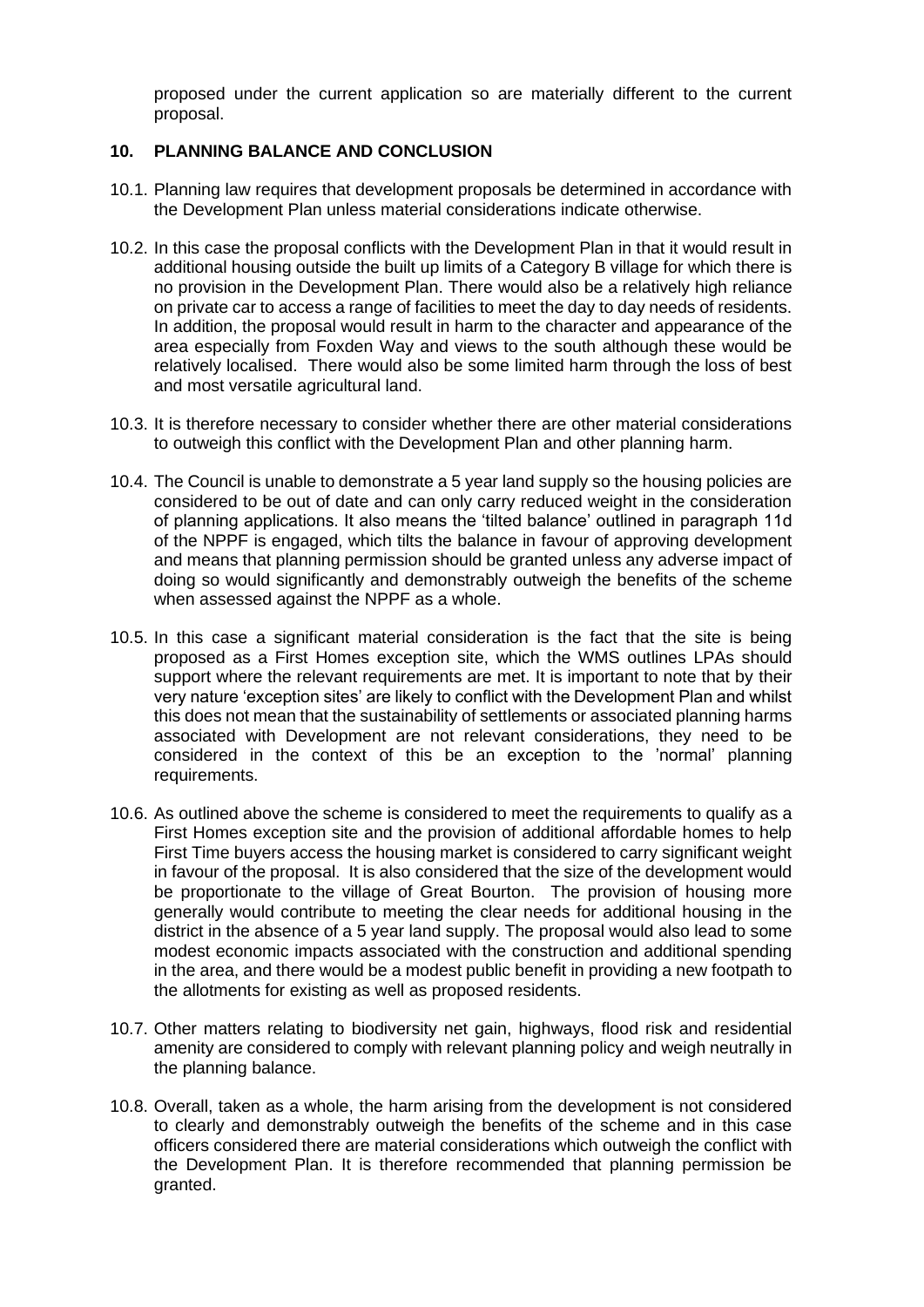proposed under the current application so are materially different to the current proposal.

## **10. PLANNING BALANCE AND CONCLUSION**

- 10.1. Planning law requires that development proposals be determined in accordance with the Development Plan unless material considerations indicate otherwise.
- 10.2. In this case the proposal conflicts with the Development Plan in that it would result in additional housing outside the built up limits of a Category B village for which there is no provision in the Development Plan. There would also be a relatively high reliance on private car to access a range of facilities to meet the day to day needs of residents. In addition, the proposal would result in harm to the character and appearance of the area especially from Foxden Way and views to the south although these would be relatively localised. There would also be some limited harm through the loss of best and most versatile agricultural land.
- 10.3. It is therefore necessary to consider whether there are other material considerations to outweigh this conflict with the Development Plan and other planning harm.
- 10.4. The Council is unable to demonstrate a 5 year land supply so the housing policies are considered to be out of date and can only carry reduced weight in the consideration of planning applications. It also means the 'tilted balance' outlined in paragraph 11d of the NPPF is engaged, which tilts the balance in favour of approving development and means that planning permission should be granted unless any adverse impact of doing so would significantly and demonstrably outweigh the benefits of the scheme when assessed against the NPPF as a whole.
- 10.5. In this case a significant material consideration is the fact that the site is being proposed as a First Homes exception site, which the WMS outlines LPAs should support where the relevant requirements are met. It is important to note that by their very nature 'exception sites' are likely to conflict with the Development Plan and whilst this does not mean that the sustainability of settlements or associated planning harms associated with Development are not relevant considerations, they need to be considered in the context of this be an exception to the 'normal' planning requirements.
- 10.6. As outlined above the scheme is considered to meet the requirements to qualify as a First Homes exception site and the provision of additional affordable homes to help First Time buyers access the housing market is considered to carry significant weight in favour of the proposal. It is also considered that the size of the development would be proportionate to the village of Great Bourton. The provision of housing more generally would contribute to meeting the clear needs for additional housing in the district in the absence of a 5 year land supply. The proposal would also lead to some modest economic impacts associated with the construction and additional spending in the area, and there would be a modest public benefit in providing a new footpath to the allotments for existing as well as proposed residents.
- 10.7. Other matters relating to biodiversity net gain, highways, flood risk and residential amenity are considered to comply with relevant planning policy and weigh neutrally in the planning balance.
- 10.8. Overall, taken as a whole, the harm arising from the development is not considered to clearly and demonstrably outweigh the benefits of the scheme and in this case officers considered there are material considerations which outweigh the conflict with the Development Plan. It is therefore recommended that planning permission be granted.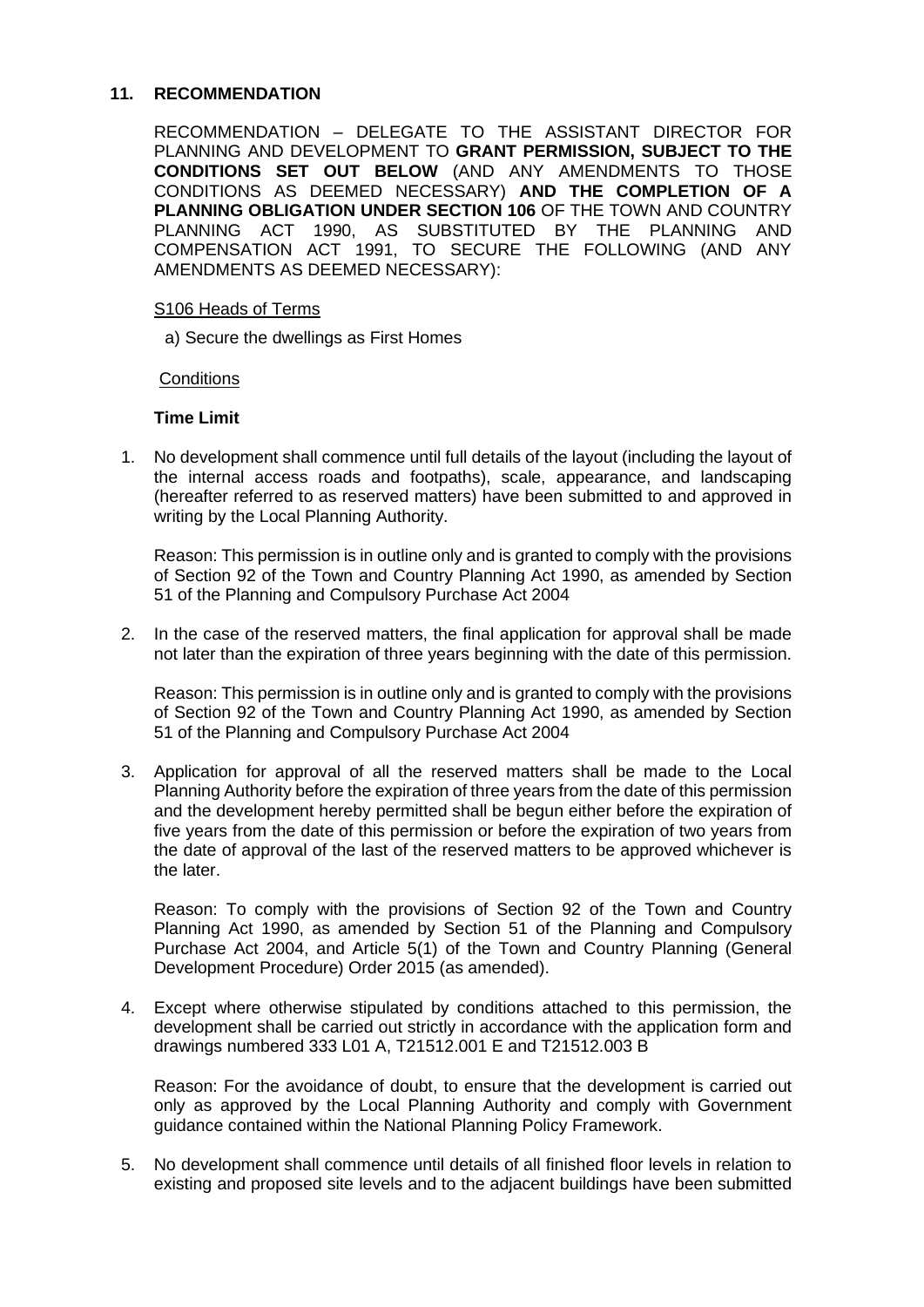### **11. RECOMMENDATION**

RECOMMENDATION – DELEGATE TO THE ASSISTANT DIRECTOR FOR PLANNING AND DEVELOPMENT TO **GRANT PERMISSION, SUBJECT TO THE CONDITIONS SET OUT BELOW** (AND ANY AMENDMENTS TO THOSE CONDITIONS AS DEEMED NECESSARY) **AND THE COMPLETION OF A PLANNING OBLIGATION UNDER SECTION 106** OF THE TOWN AND COUNTRY PLANNING ACT 1990, AS SUBSTITUTED BY THE PLANNING AND COMPENSATION ACT 1991, TO SECURE THE FOLLOWING (AND ANY AMENDMENTS AS DEEMED NECESSARY):

### S106 Heads of Terms

a) Secure the dwellings as First Homes

### **Conditions**

## **Time Limit**

1. No development shall commence until full details of the layout (including the layout of the internal access roads and footpaths), scale, appearance, and landscaping (hereafter referred to as reserved matters) have been submitted to and approved in writing by the Local Planning Authority.

Reason: This permission is in outline only and is granted to comply with the provisions of Section 92 of the Town and Country Planning Act 1990, as amended by Section 51 of the Planning and Compulsory Purchase Act 2004

2. In the case of the reserved matters, the final application for approval shall be made not later than the expiration of three years beginning with the date of this permission.

Reason: This permission is in outline only and is granted to comply with the provisions of Section 92 of the Town and Country Planning Act 1990, as amended by Section 51 of the Planning and Compulsory Purchase Act 2004

3. Application for approval of all the reserved matters shall be made to the Local Planning Authority before the expiration of three years from the date of this permission and the development hereby permitted shall be begun either before the expiration of five years from the date of this permission or before the expiration of two years from the date of approval of the last of the reserved matters to be approved whichever is the later.

Reason: To comply with the provisions of Section 92 of the Town and Country Planning Act 1990, as amended by Section 51 of the Planning and Compulsory Purchase Act 2004, and Article 5(1) of the Town and Country Planning (General Development Procedure) Order 2015 (as amended).

4. Except where otherwise stipulated by conditions attached to this permission, the development shall be carried out strictly in accordance with the application form and drawings numbered 333 L01 A, T21512.001 E and T21512.003 B

Reason: For the avoidance of doubt, to ensure that the development is carried out only as approved by the Local Planning Authority and comply with Government guidance contained within the National Planning Policy Framework.

5. No development shall commence until details of all finished floor levels in relation to existing and proposed site levels and to the adjacent buildings have been submitted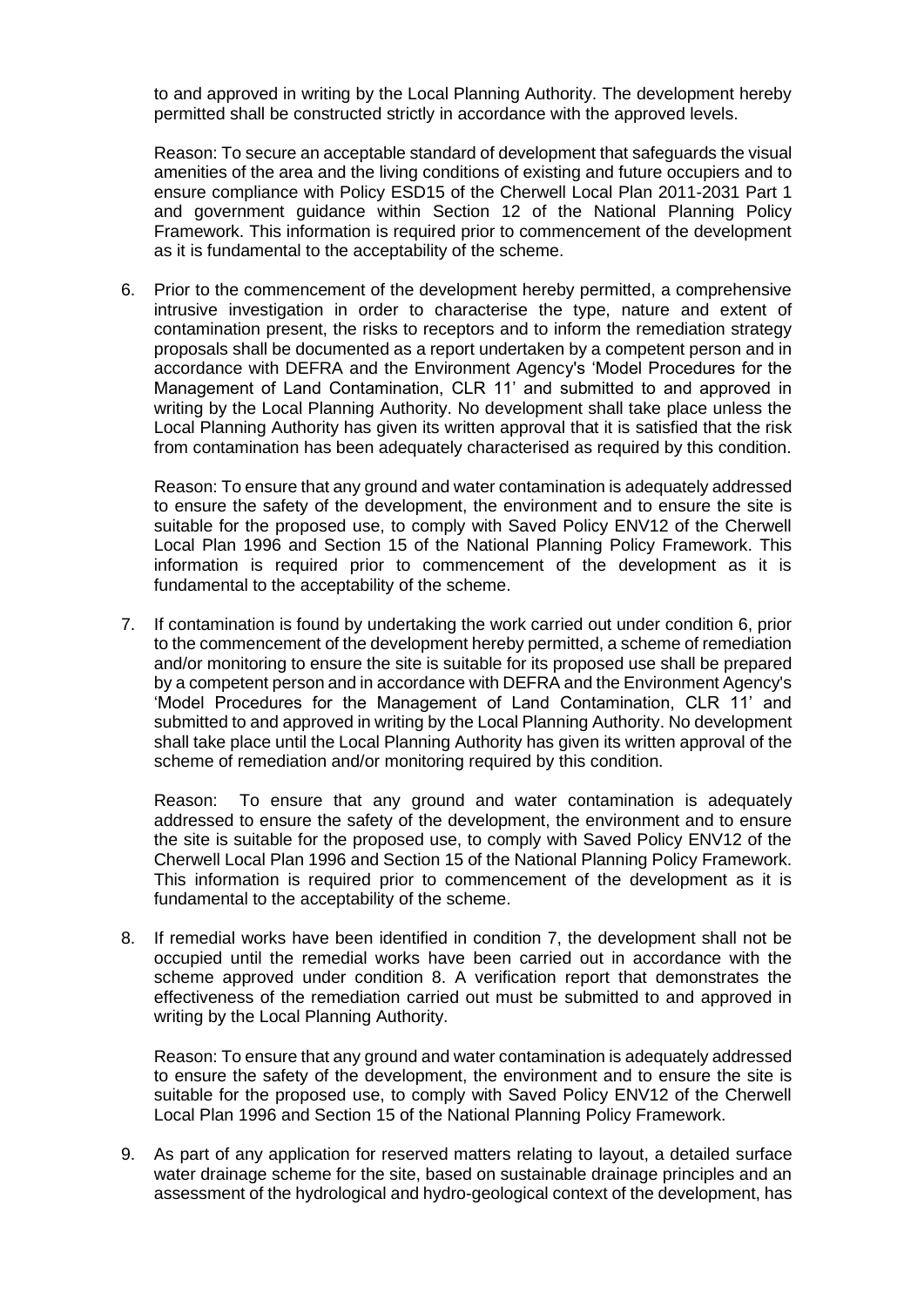to and approved in writing by the Local Planning Authority. The development hereby permitted shall be constructed strictly in accordance with the approved levels.

Reason: To secure an acceptable standard of development that safeguards the visual amenities of the area and the living conditions of existing and future occupiers and to ensure compliance with Policy ESD15 of the Cherwell Local Plan 2011-2031 Part 1 and government guidance within Section 12 of the National Planning Policy Framework. This information is required prior to commencement of the development as it is fundamental to the acceptability of the scheme.

6. Prior to the commencement of the development hereby permitted, a comprehensive intrusive investigation in order to characterise the type, nature and extent of contamination present, the risks to receptors and to inform the remediation strategy proposals shall be documented as a report undertaken by a competent person and in accordance with DEFRA and the Environment Agency's 'Model Procedures for the Management of Land Contamination, CLR 11' and submitted to and approved in writing by the Local Planning Authority. No development shall take place unless the Local Planning Authority has given its written approval that it is satisfied that the risk from contamination has been adequately characterised as required by this condition.

Reason: To ensure that any ground and water contamination is adequately addressed to ensure the safety of the development, the environment and to ensure the site is suitable for the proposed use, to comply with Saved Policy ENV12 of the Cherwell Local Plan 1996 and Section 15 of the National Planning Policy Framework. This information is required prior to commencement of the development as it is fundamental to the acceptability of the scheme.

7. If contamination is found by undertaking the work carried out under condition 6, prior to the commencement of the development hereby permitted, a scheme of remediation and/or monitoring to ensure the site is suitable for its proposed use shall be prepared by a competent person and in accordance with DEFRA and the Environment Agency's 'Model Procedures for the Management of Land Contamination, CLR 11' and submitted to and approved in writing by the Local Planning Authority. No development shall take place until the Local Planning Authority has given its written approval of the scheme of remediation and/or monitoring required by this condition.

Reason: To ensure that any ground and water contamination is adequately addressed to ensure the safety of the development, the environment and to ensure the site is suitable for the proposed use, to comply with Saved Policy ENV12 of the Cherwell Local Plan 1996 and Section 15 of the National Planning Policy Framework. This information is required prior to commencement of the development as it is fundamental to the acceptability of the scheme.

8. If remedial works have been identified in condition 7, the development shall not be occupied until the remedial works have been carried out in accordance with the scheme approved under condition 8. A verification report that demonstrates the effectiveness of the remediation carried out must be submitted to and approved in writing by the Local Planning Authority.

Reason: To ensure that any ground and water contamination is adequately addressed to ensure the safety of the development, the environment and to ensure the site is suitable for the proposed use, to comply with Saved Policy ENV12 of the Cherwell Local Plan 1996 and Section 15 of the National Planning Policy Framework.

9. As part of any application for reserved matters relating to layout, a detailed surface water drainage scheme for the site, based on sustainable drainage principles and an assessment of the hydrological and hydro-geological context of the development, has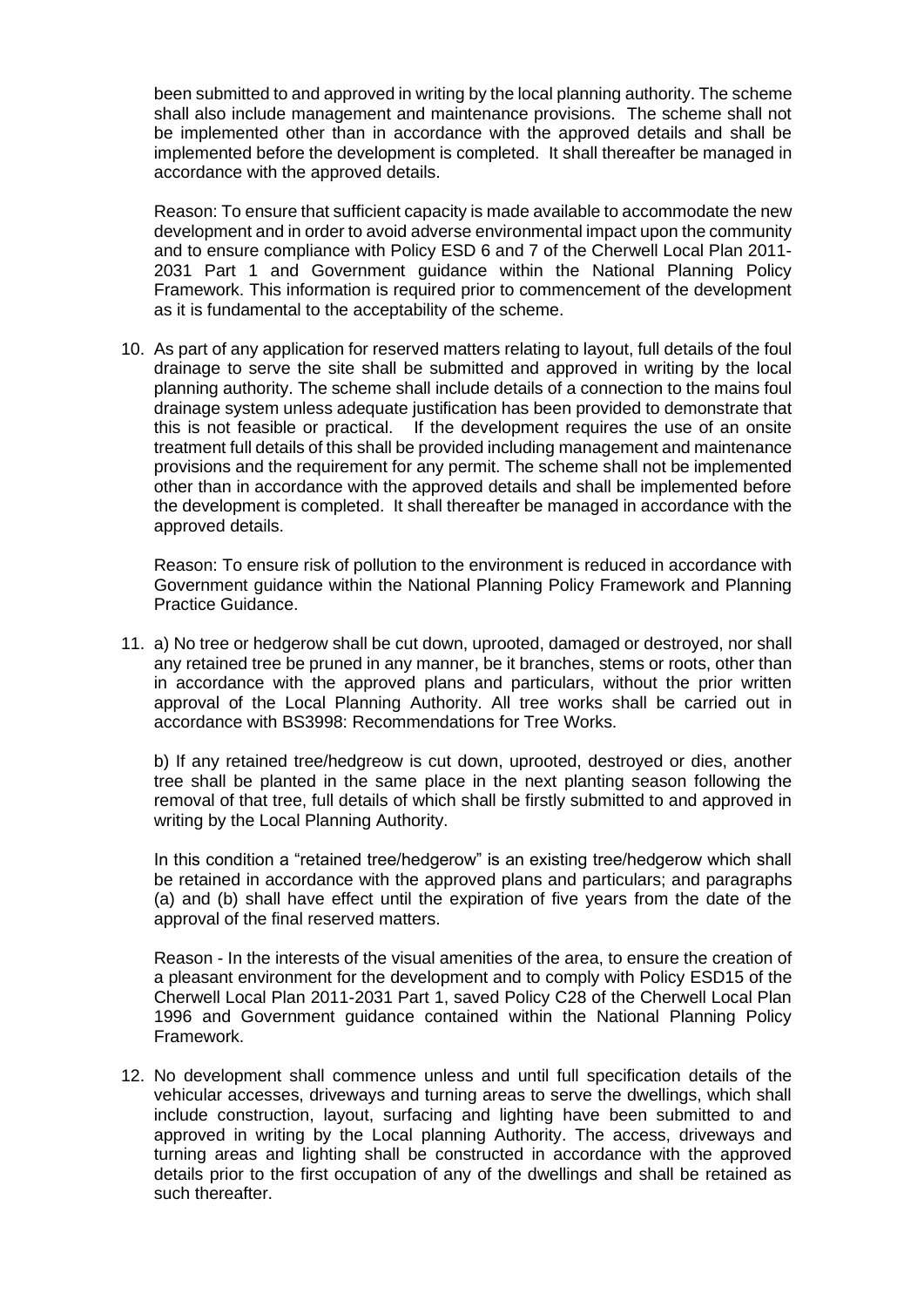been submitted to and approved in writing by the local planning authority. The scheme shall also include management and maintenance provisions. The scheme shall not be implemented other than in accordance with the approved details and shall be implemented before the development is completed. It shall thereafter be managed in accordance with the approved details.

Reason: To ensure that sufficient capacity is made available to accommodate the new development and in order to avoid adverse environmental impact upon the community and to ensure compliance with Policy ESD 6 and 7 of the Cherwell Local Plan 2011- 2031 Part 1 and Government guidance within the National Planning Policy Framework. This information is required prior to commencement of the development as it is fundamental to the acceptability of the scheme.

10. As part of any application for reserved matters relating to layout, full details of the foul drainage to serve the site shall be submitted and approved in writing by the local planning authority. The scheme shall include details of a connection to the mains foul drainage system unless adequate justification has been provided to demonstrate that this is not feasible or practical. If the development requires the use of an onsite treatment full details of this shall be provided including management and maintenance provisions and the requirement for any permit. The scheme shall not be implemented other than in accordance with the approved details and shall be implemented before the development is completed. It shall thereafter be managed in accordance with the approved details.

Reason: To ensure risk of pollution to the environment is reduced in accordance with Government guidance within the National Planning Policy Framework and Planning Practice Guidance.

11. a) No tree or hedgerow shall be cut down, uprooted, damaged or destroyed, nor shall any retained tree be pruned in any manner, be it branches, stems or roots, other than in accordance with the approved plans and particulars, without the prior written approval of the Local Planning Authority. All tree works shall be carried out in accordance with BS3998: Recommendations for Tree Works.

b) If any retained tree/hedgreow is cut down, uprooted, destroyed or dies, another tree shall be planted in the same place in the next planting season following the removal of that tree, full details of which shall be firstly submitted to and approved in writing by the Local Planning Authority.

In this condition a "retained tree/hedgerow" is an existing tree/hedgerow which shall be retained in accordance with the approved plans and particulars; and paragraphs (a) and (b) shall have effect until the expiration of five years from the date of the approval of the final reserved matters.

Reason - In the interests of the visual amenities of the area, to ensure the creation of a pleasant environment for the development and to comply with Policy ESD15 of the Cherwell Local Plan 2011-2031 Part 1, saved Policy C28 of the Cherwell Local Plan 1996 and Government guidance contained within the National Planning Policy Framework.

12. No development shall commence unless and until full specification details of the vehicular accesses, driveways and turning areas to serve the dwellings, which shall include construction, layout, surfacing and lighting have been submitted to and approved in writing by the Local planning Authority. The access, driveways and turning areas and lighting shall be constructed in accordance with the approved details prior to the first occupation of any of the dwellings and shall be retained as such thereafter.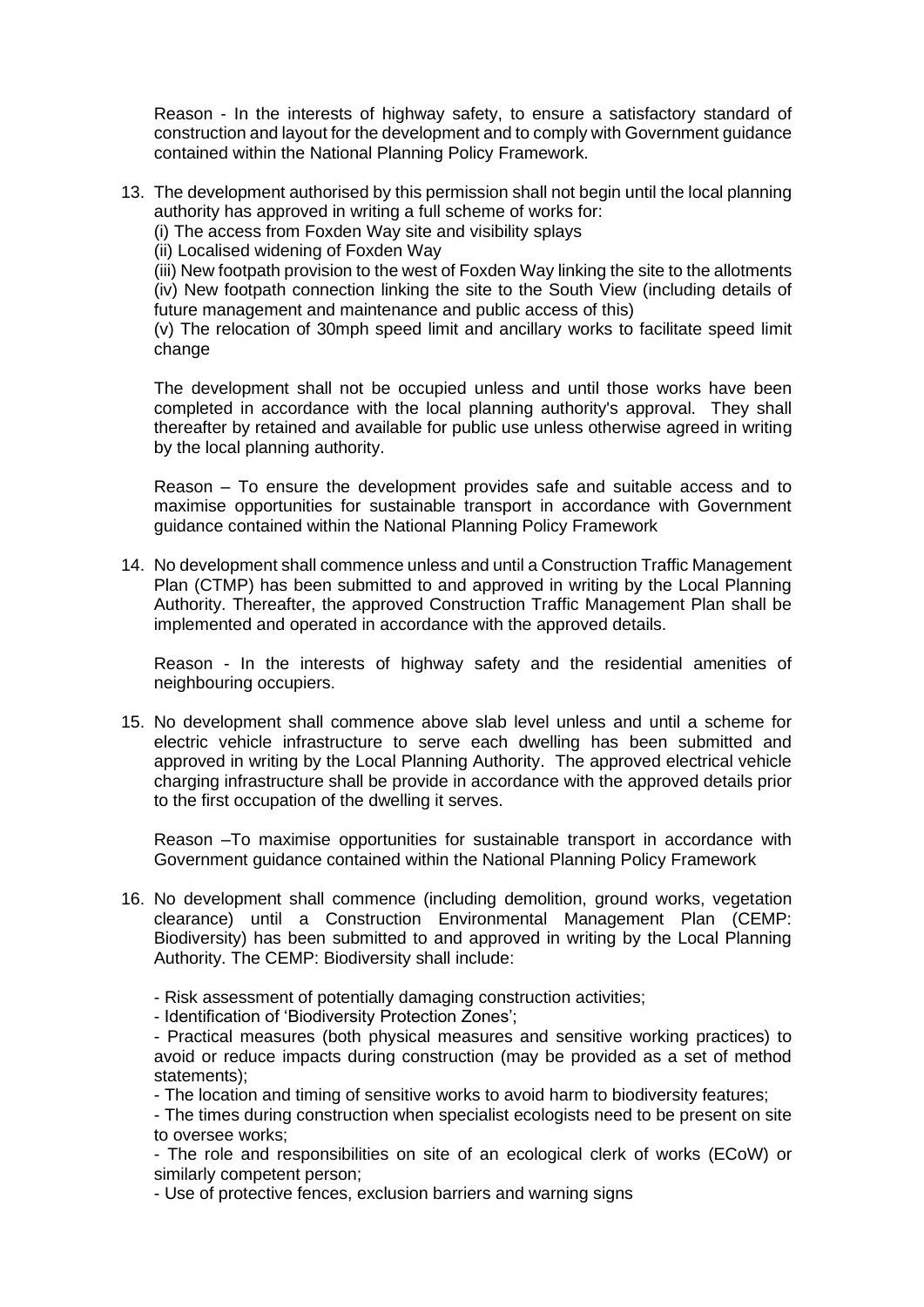Reason - In the interests of highway safety, to ensure a satisfactory standard of construction and layout for the development and to comply with Government guidance contained within the National Planning Policy Framework.

13. The development authorised by this permission shall not begin until the local planning authority has approved in writing a full scheme of works for:

(i) The access from Foxden Way site and visibility splays

(ii) Localised widening of Foxden Way

(iii) New footpath provision to the west of Foxden Way linking the site to the allotments (iv) New footpath connection linking the site to the South View (including details of future management and maintenance and public access of this)

(v) The relocation of 30mph speed limit and ancillary works to facilitate speed limit change

The development shall not be occupied unless and until those works have been completed in accordance with the local planning authority's approval. They shall thereafter by retained and available for public use unless otherwise agreed in writing by the local planning authority.

Reason – To ensure the development provides safe and suitable access and to maximise opportunities for sustainable transport in accordance with Government guidance contained within the National Planning Policy Framework

14. No development shall commence unless and until a Construction Traffic Management Plan (CTMP) has been submitted to and approved in writing by the Local Planning Authority. Thereafter, the approved Construction Traffic Management Plan shall be implemented and operated in accordance with the approved details.

Reason - In the interests of highway safety and the residential amenities of neighbouring occupiers.

15. No development shall commence above slab level unless and until a scheme for electric vehicle infrastructure to serve each dwelling has been submitted and approved in writing by the Local Planning Authority. The approved electrical vehicle charging infrastructure shall be provide in accordance with the approved details prior to the first occupation of the dwelling it serves.

Reason –To maximise opportunities for sustainable transport in accordance with Government guidance contained within the National Planning Policy Framework

- 16. No development shall commence (including demolition, ground works, vegetation clearance) until a Construction Environmental Management Plan (CEMP: Biodiversity) has been submitted to and approved in writing by the Local Planning Authority. The CEMP: Biodiversity shall include:
	- Risk assessment of potentially damaging construction activities;
	- Identification of 'Biodiversity Protection Zones';

- Practical measures (both physical measures and sensitive working practices) to avoid or reduce impacts during construction (may be provided as a set of method statements);

- The location and timing of sensitive works to avoid harm to biodiversity features;

- The times during construction when specialist ecologists need to be present on site to oversee works;

- The role and responsibilities on site of an ecological clerk of works (ECoW) or similarly competent person;

- Use of protective fences, exclusion barriers and warning signs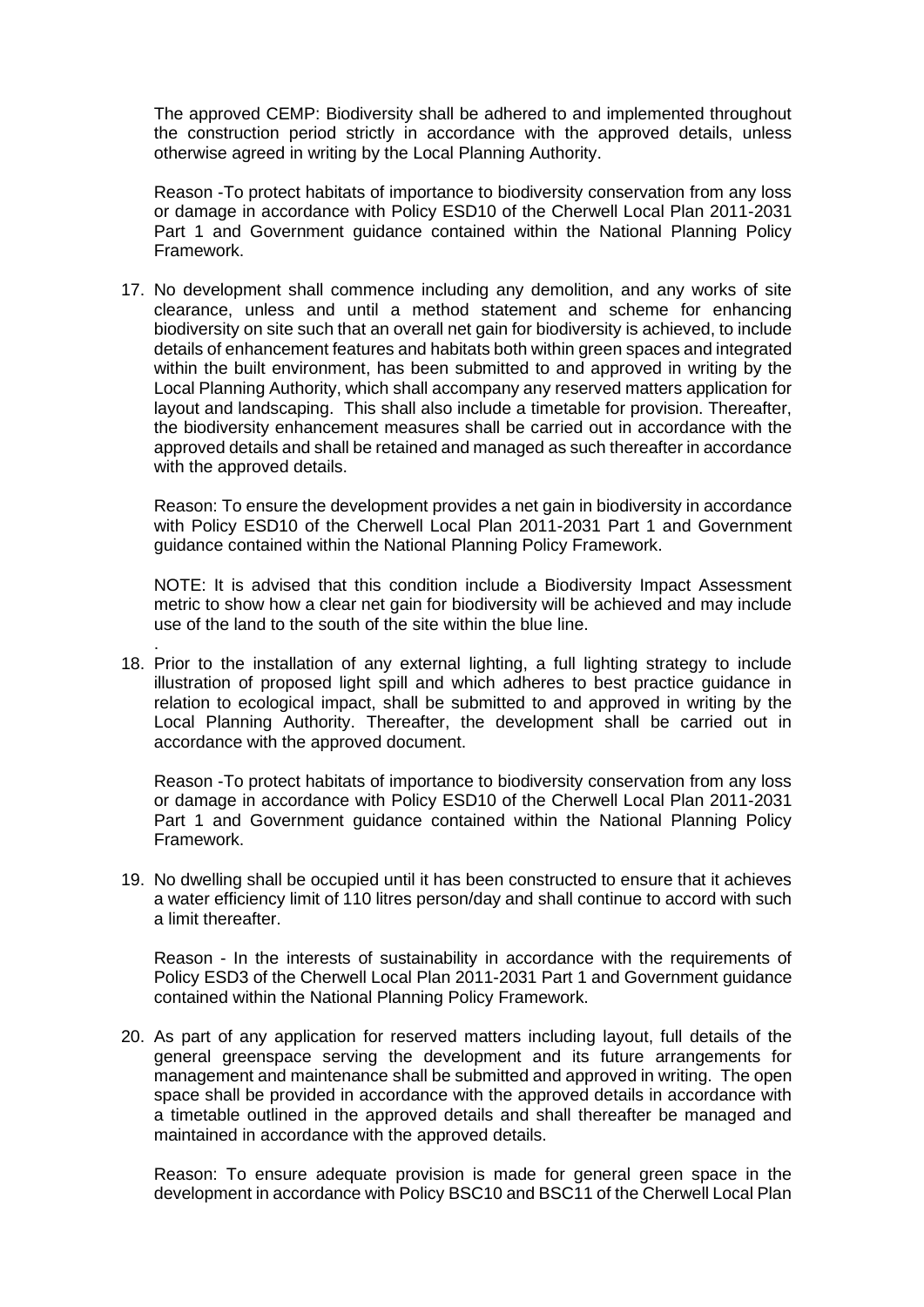The approved CEMP: Biodiversity shall be adhered to and implemented throughout the construction period strictly in accordance with the approved details, unless otherwise agreed in writing by the Local Planning Authority.

Reason -To protect habitats of importance to biodiversity conservation from any loss or damage in accordance with Policy ESD10 of the Cherwell Local Plan 2011-2031 Part 1 and Government guidance contained within the National Planning Policy Framework.

17. No development shall commence including any demolition, and any works of site clearance, unless and until a method statement and scheme for enhancing biodiversity on site such that an overall net gain for biodiversity is achieved, to include details of enhancement features and habitats both within green spaces and integrated within the built environment, has been submitted to and approved in writing by the Local Planning Authority, which shall accompany any reserved matters application for layout and landscaping. This shall also include a timetable for provision. Thereafter, the biodiversity enhancement measures shall be carried out in accordance with the approved details and shall be retained and managed as such thereafter in accordance with the approved details.

Reason: To ensure the development provides a net gain in biodiversity in accordance with Policy ESD10 of the Cherwell Local Plan 2011-2031 Part 1 and Government guidance contained within the National Planning Policy Framework.

NOTE: It is advised that this condition include a Biodiversity Impact Assessment metric to show how a clear net gain for biodiversity will be achieved and may include use of the land to the south of the site within the blue line.

. 18. Prior to the installation of any external lighting, a full lighting strategy to include illustration of proposed light spill and which adheres to best practice guidance in relation to ecological impact, shall be submitted to and approved in writing by the Local Planning Authority. Thereafter, the development shall be carried out in accordance with the approved document.

Reason -To protect habitats of importance to biodiversity conservation from any loss or damage in accordance with Policy ESD10 of the Cherwell Local Plan 2011-2031 Part 1 and Government guidance contained within the National Planning Policy Framework.

19. No dwelling shall be occupied until it has been constructed to ensure that it achieves a water efficiency limit of 110 litres person/day and shall continue to accord with such a limit thereafter.

Reason - In the interests of sustainability in accordance with the requirements of Policy ESD3 of the Cherwell Local Plan 2011-2031 Part 1 and Government guidance contained within the National Planning Policy Framework.

20. As part of any application for reserved matters including layout, full details of the general greenspace serving the development and its future arrangements for management and maintenance shall be submitted and approved in writing. The open space shall be provided in accordance with the approved details in accordance with a timetable outlined in the approved details and shall thereafter be managed and maintained in accordance with the approved details.

Reason: To ensure adequate provision is made for general green space in the development in accordance with Policy BSC10 and BSC11 of the Cherwell Local Plan